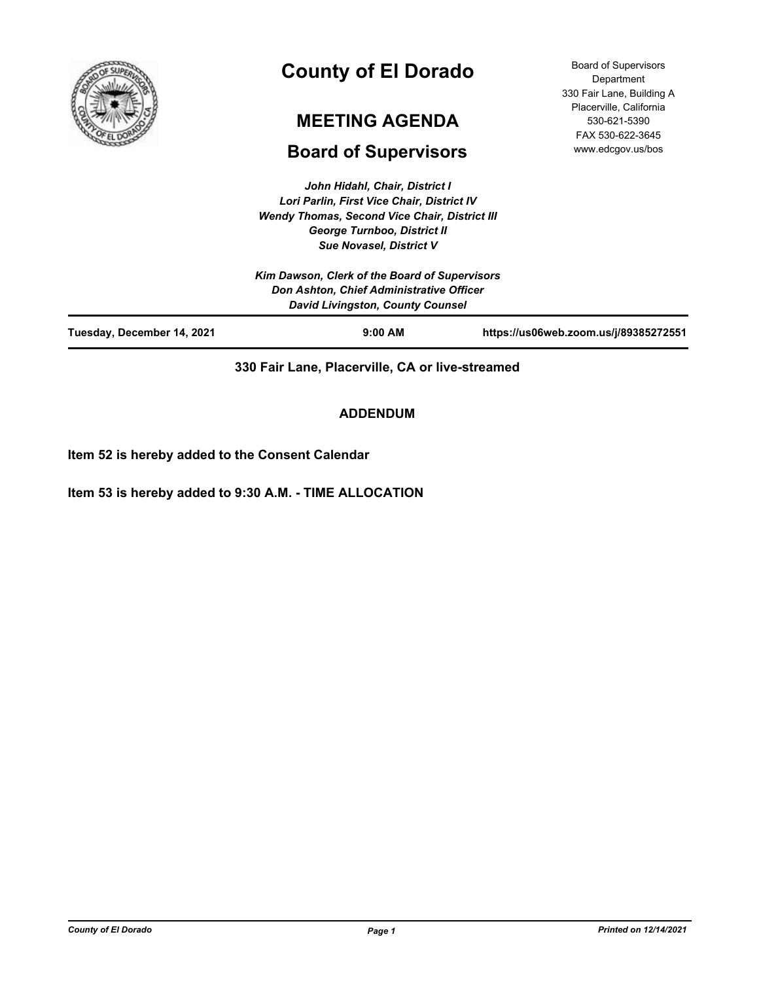

# **County of El Dorado**

# **MEETING AGENDA**

# **Board of Supervisors**

Board of Supervisors Department 330 Fair Lane, Building A Placerville, California 530-621-5390 FAX 530-622-3645 www.edcgov.us/bos

*John Hidahl, Chair, District I Lori Parlin, First Vice Chair, District IV Wendy Thomas, Second Vice Chair, District III George Turnboo, District II Sue Novasel, District V*

|                            | Kim Dawson, Clerk of the Board of Supervisors<br>Don Ashton, Chief Administrative Officer<br><b>David Livingston, County Counsel</b> |                                       |
|----------------------------|--------------------------------------------------------------------------------------------------------------------------------------|---------------------------------------|
| Tuesday, December 14, 2021 | $9:00$ AM                                                                                                                            | https://us06web.zoom.us/j/89385272551 |

**330 Fair Lane, Placerville, CA or live-streamed**

**ADDENDUM**

**Item 52 is hereby added to the Consent Calendar**

**Item 53 is hereby added to 9:30 A.M. - TIME ALLOCATION**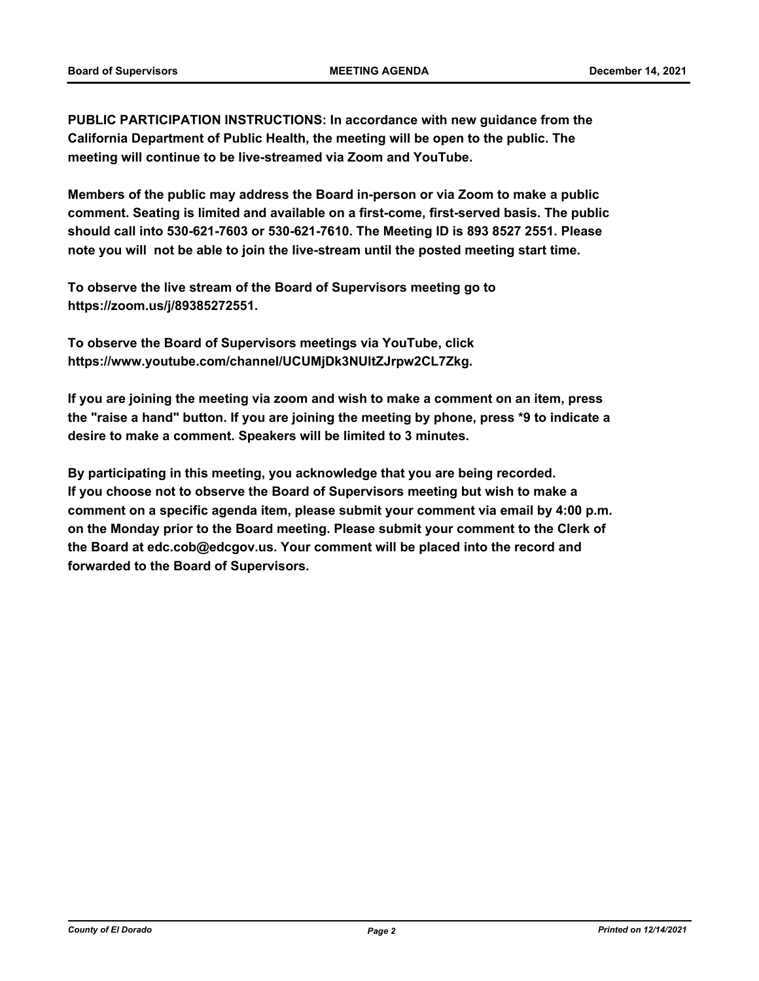**PUBLIC PARTICIPATION INSTRUCTIONS: In accordance with new guidance from the California Department of Public Health, the meeting will be open to the public. The meeting will continue to be live-streamed via Zoom and YouTube.**

**Members of the public may address the Board in-person or via Zoom to make a public comment. Seating is limited and available on a first-come, first-served basis. The public should call into 530-621-7603 or 530-621-7610. The Meeting ID is 893 8527 2551. Please note you will not be able to join the live-stream until the posted meeting start time.**

**To observe the live stream of the Board of Supervisors meeting go to https://zoom.us/j/89385272551.**

**To observe the Board of Supervisors meetings via YouTube, click https://www.youtube.com/channel/UCUMjDk3NUltZJrpw2CL7Zkg.**

**If you are joining the meeting via zoom and wish to make a comment on an item, press the "raise a hand" button. If you are joining the meeting by phone, press \*9 to indicate a desire to make a comment. Speakers will be limited to 3 minutes.**

**By participating in this meeting, you acknowledge that you are being recorded. If you choose not to observe the Board of Supervisors meeting but wish to make a comment on a specific agenda item, please submit your comment via email by 4:00 p.m. on the Monday prior to the Board meeting. Please submit your comment to the Clerk of the Board at edc.cob@edcgov.us. Your comment will be placed into the record and forwarded to the Board of Supervisors.**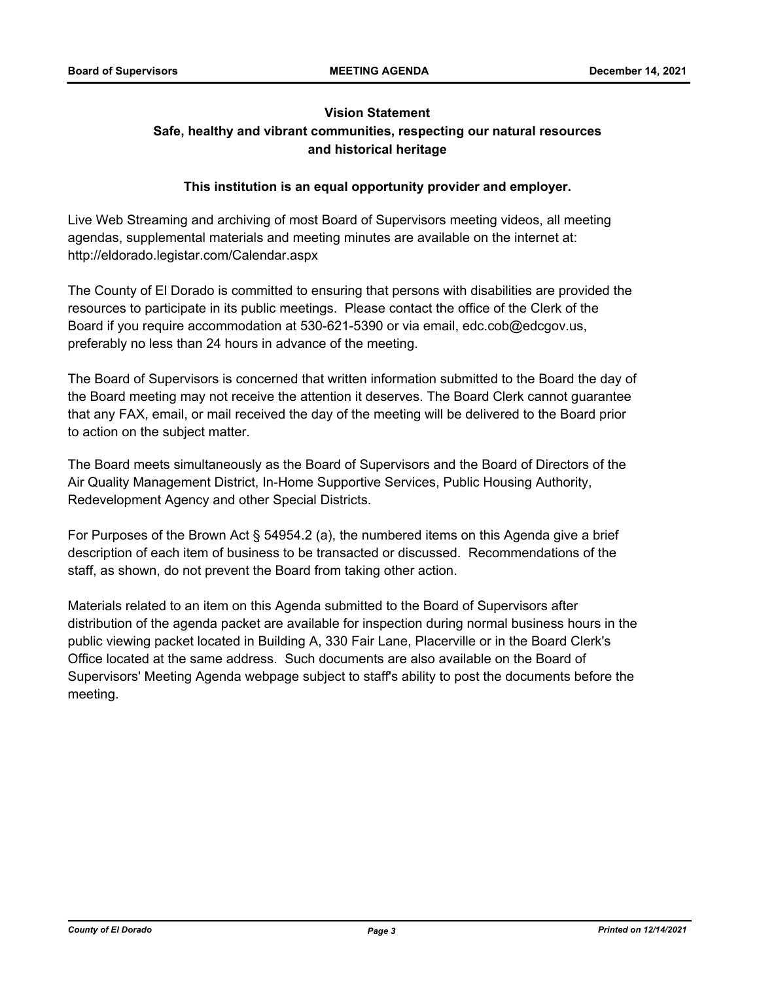# **Vision Statement Safe, healthy and vibrant communities, respecting our natural resources and historical heritage**

# **This institution is an equal opportunity provider and employer.**

Live Web Streaming and archiving of most Board of Supervisors meeting videos, all meeting agendas, supplemental materials and meeting minutes are available on the internet at: http://eldorado.legistar.com/Calendar.aspx

The County of El Dorado is committed to ensuring that persons with disabilities are provided the resources to participate in its public meetings. Please contact the office of the Clerk of the Board if you require accommodation at 530-621-5390 or via email, edc.cob@edcgov.us, preferably no less than 24 hours in advance of the meeting.

The Board of Supervisors is concerned that written information submitted to the Board the day of the Board meeting may not receive the attention it deserves. The Board Clerk cannot guarantee that any FAX, email, or mail received the day of the meeting will be delivered to the Board prior to action on the subject matter.

The Board meets simultaneously as the Board of Supervisors and the Board of Directors of the Air Quality Management District, In-Home Supportive Services, Public Housing Authority, Redevelopment Agency and other Special Districts.

For Purposes of the Brown Act § 54954.2 (a), the numbered items on this Agenda give a brief description of each item of business to be transacted or discussed. Recommendations of the staff, as shown, do not prevent the Board from taking other action.

Materials related to an item on this Agenda submitted to the Board of Supervisors after distribution of the agenda packet are available for inspection during normal business hours in the public viewing packet located in Building A, 330 Fair Lane, Placerville or in the Board Clerk's Office located at the same address. Such documents are also available on the Board of Supervisors' Meeting Agenda webpage subject to staff's ability to post the documents before the meeting.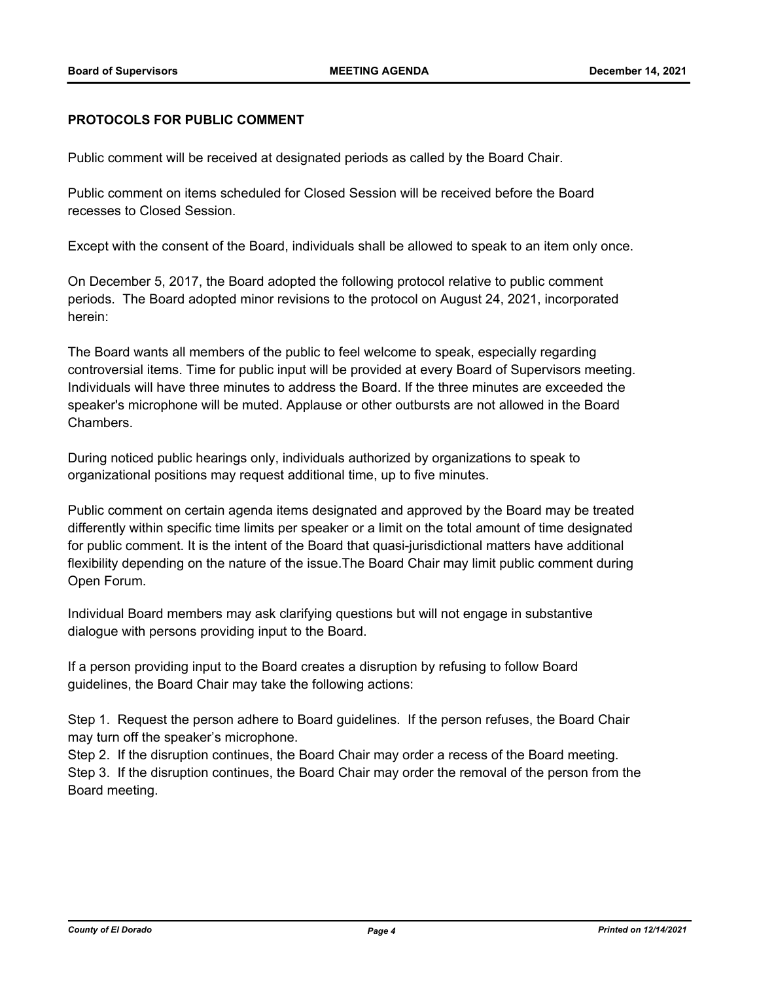# **PROTOCOLS FOR PUBLIC COMMENT**

Public comment will be received at designated periods as called by the Board Chair.

Public comment on items scheduled for Closed Session will be received before the Board recesses to Closed Session.

Except with the consent of the Board, individuals shall be allowed to speak to an item only once.

On December 5, 2017, the Board adopted the following protocol relative to public comment periods. The Board adopted minor revisions to the protocol on August 24, 2021, incorporated herein:

The Board wants all members of the public to feel welcome to speak, especially regarding controversial items. Time for public input will be provided at every Board of Supervisors meeting. Individuals will have three minutes to address the Board. If the three minutes are exceeded the speaker's microphone will be muted. Applause or other outbursts are not allowed in the Board Chambers.

During noticed public hearings only, individuals authorized by organizations to speak to organizational positions may request additional time, up to five minutes.

Public comment on certain agenda items designated and approved by the Board may be treated differently within specific time limits per speaker or a limit on the total amount of time designated for public comment. It is the intent of the Board that quasi-jurisdictional matters have additional flexibility depending on the nature of the issue.The Board Chair may limit public comment during Open Forum.

Individual Board members may ask clarifying questions but will not engage in substantive dialogue with persons providing input to the Board.

If a person providing input to the Board creates a disruption by refusing to follow Board guidelines, the Board Chair may take the following actions:

Step 1. Request the person adhere to Board guidelines. If the person refuses, the Board Chair may turn off the speaker's microphone.

Step 2. If the disruption continues, the Board Chair may order a recess of the Board meeting. Step 3. If the disruption continues, the Board Chair may order the removal of the person from the Board meeting.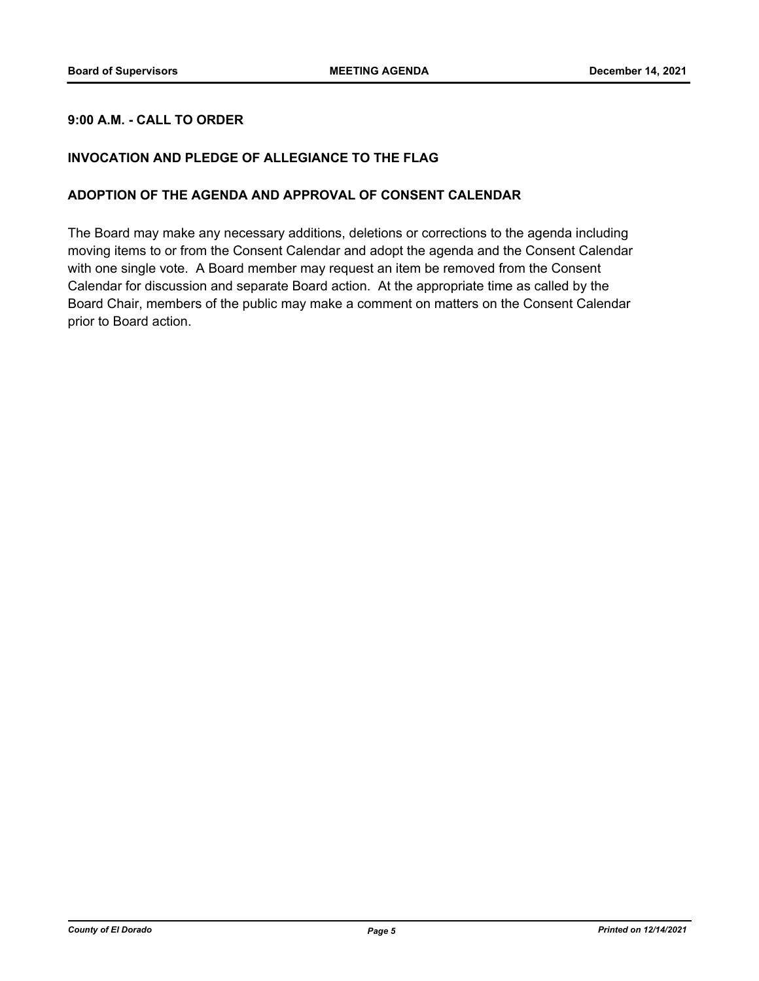# **9:00 A.M. - CALL TO ORDER**

# **INVOCATION AND PLEDGE OF ALLEGIANCE TO THE FLAG**

## **ADOPTION OF THE AGENDA AND APPROVAL OF CONSENT CALENDAR**

The Board may make any necessary additions, deletions or corrections to the agenda including moving items to or from the Consent Calendar and adopt the agenda and the Consent Calendar with one single vote. A Board member may request an item be removed from the Consent Calendar for discussion and separate Board action. At the appropriate time as called by the Board Chair, members of the public may make a comment on matters on the Consent Calendar prior to Board action.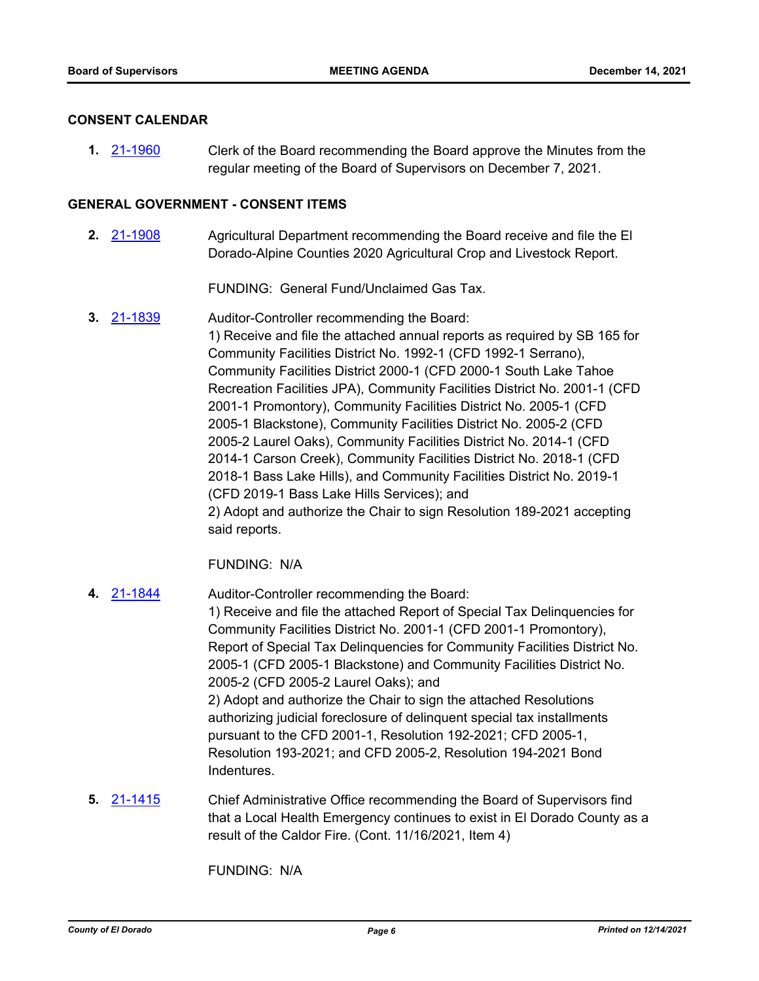### **CONSENT CALENDAR**

Clerk of the Board recommending the Board approve the Minutes from the regular meeting of the Board of Supervisors on December 7, 2021. **1.** [21-1960](http://eldorado.legistar.com/gateway.aspx?m=l&id=/matter.aspx?key=30856)

## **GENERAL GOVERNMENT - CONSENT ITEMS**

Agricultural Department recommending the Board receive and file the El Dorado-Alpine Counties 2020 Agricultural Crop and Livestock Report. **2.** [21-1908](http://eldorado.legistar.com/gateway.aspx?m=l&id=/matter.aspx?key=30804)

FUNDING: General Fund/Unclaimed Gas Tax.

Auditor-Controller recommending the Board: 1) Receive and file the attached annual reports as required by SB 165 for Community Facilities District No. 1992-1 (CFD 1992-1 Serrano), Community Facilities District 2000-1 (CFD 2000-1 South Lake Tahoe Recreation Facilities JPA), Community Facilities District No. 2001-1 (CFD 2001-1 Promontory), Community Facilities District No. 2005-1 (CFD 2005-1 Blackstone), Community Facilities District No. 2005-2 (CFD 2005-2 Laurel Oaks), Community Facilities District No. 2014-1 (CFD 2014-1 Carson Creek), Community Facilities District No. 2018-1 (CFD 2018-1 Bass Lake Hills), and Community Facilities District No. 2019-1 (CFD 2019-1 Bass Lake Hills Services); and 2) Adopt and authorize the Chair to sign Resolution 189-2021 accepting said reports. **3.** [21-1839](http://eldorado.legistar.com/gateway.aspx?m=l&id=/matter.aspx?key=30735)

FUNDING: N/A

- Auditor-Controller recommending the Board: 1) Receive and file the attached Report of Special Tax Delinquencies for Community Facilities District No. 2001-1 (CFD 2001-1 Promontory), Report of Special Tax Delinquencies for Community Facilities District No. 2005-1 (CFD 2005-1 Blackstone) and Community Facilities District No. 2005-2 (CFD 2005-2 Laurel Oaks); and 2) Adopt and authorize the Chair to sign the attached Resolutions authorizing judicial foreclosure of delinquent special tax installments pursuant to the CFD 2001-1, Resolution 192-2021; CFD 2005-1, Resolution 193-2021; and CFD 2005-2, Resolution 194-2021 Bond Indentures. **4.** [21-1844](http://eldorado.legistar.com/gateway.aspx?m=l&id=/matter.aspx?key=30740)
- Chief Administrative Office recommending the Board of Supervisors find that a Local Health Emergency continues to exist in El Dorado County as a result of the Caldor Fire. (Cont. 11/16/2021, Item 4) **5.** [21-1415](http://eldorado.legistar.com/gateway.aspx?m=l&id=/matter.aspx?key=30310)

FUNDING: N/A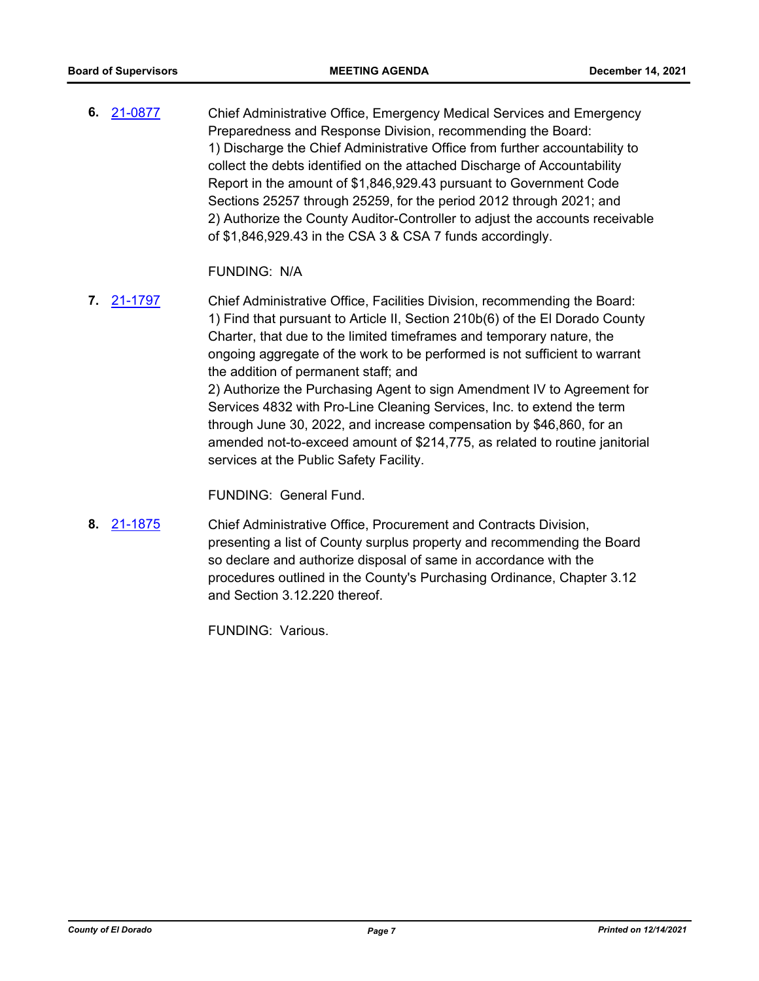Chief Administrative Office, Emergency Medical Services and Emergency Preparedness and Response Division, recommending the Board: 1) Discharge the Chief Administrative Office from further accountability to collect the debts identified on the attached Discharge of Accountability Report in the amount of \$1,846,929.43 pursuant to Government Code Sections 25257 through 25259, for the period 2012 through 2021; and 2) Authorize the County Auditor-Controller to adjust the accounts receivable of \$1,846,929.43 in the CSA 3 & CSA 7 funds accordingly. **6.** [21-0877](http://eldorado.legistar.com/gateway.aspx?m=l&id=/matter.aspx?key=29772)

FUNDING: N/A

Chief Administrative Office, Facilities Division, recommending the Board: 1) Find that pursuant to Article II, Section 210b(6) of the El Dorado County Charter, that due to the limited timeframes and temporary nature, the ongoing aggregate of the work to be performed is not sufficient to warrant the addition of permanent staff; and 2) Authorize the Purchasing Agent to sign Amendment IV to Agreement for Services 4832 with Pro-Line Cleaning Services, Inc. to extend the term through June 30, 2022, and increase compensation by \$46,860, for an amended not-to-exceed amount of \$214,775, as related to routine janitorial services at the Public Safety Facility. **7.** [21-1797](http://eldorado.legistar.com/gateway.aspx?m=l&id=/matter.aspx?key=30693)

FUNDING: General Fund.

Chief Administrative Office, Procurement and Contracts Division, presenting a list of County surplus property and recommending the Board so declare and authorize disposal of same in accordance with the procedures outlined in the County's Purchasing Ordinance, Chapter 3.12 and Section 3.12.220 thereof. **8.** [21-1875](http://eldorado.legistar.com/gateway.aspx?m=l&id=/matter.aspx?key=30771)

FUNDING: Various.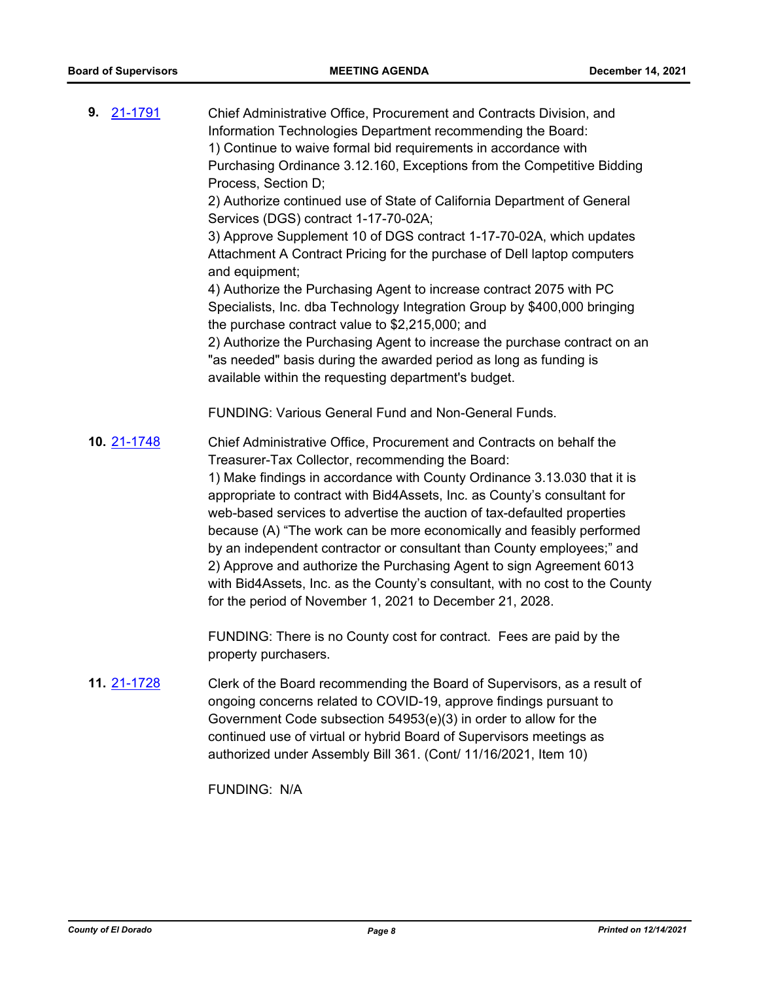| 9. 21-1791  | Chief Administrative Office, Procurement and Contracts Division, and<br>Information Technologies Department recommending the Board:<br>1) Continue to waive formal bid requirements in accordance with<br>Purchasing Ordinance 3.12.160, Exceptions from the Competitive Bidding<br>Process, Section D;<br>2) Authorize continued use of State of California Department of General<br>Services (DGS) contract 1-17-70-02A;<br>3) Approve Supplement 10 of DGS contract 1-17-70-02A, which updates<br>Attachment A Contract Pricing for the purchase of Dell laptop computers<br>and equipment;<br>4) Authorize the Purchasing Agent to increase contract 2075 with PC<br>Specialists, Inc. dba Technology Integration Group by \$400,000 bringing<br>the purchase contract value to \$2,215,000; and<br>2) Authorize the Purchasing Agent to increase the purchase contract on an<br>"as needed" basis during the awarded period as long as funding is<br>available within the requesting department's budget. |
|-------------|----------------------------------------------------------------------------------------------------------------------------------------------------------------------------------------------------------------------------------------------------------------------------------------------------------------------------------------------------------------------------------------------------------------------------------------------------------------------------------------------------------------------------------------------------------------------------------------------------------------------------------------------------------------------------------------------------------------------------------------------------------------------------------------------------------------------------------------------------------------------------------------------------------------------------------------------------------------------------------------------------------------|
|             | <b>FUNDING: Various General Fund and Non-General Funds.</b>                                                                                                                                                                                                                                                                                                                                                                                                                                                                                                                                                                                                                                                                                                                                                                                                                                                                                                                                                    |
| 10. 21-1748 | Chief Administrative Office, Procurement and Contracts on behalf the<br>Treasurer-Tax Collector, recommending the Board:<br>1) Make findings in accordance with County Ordinance 3.13.030 that it is<br>appropriate to contract with Bid4Assets, Inc. as County's consultant for<br>web-based services to advertise the auction of tax-defaulted properties<br>because (A) "The work can be more economically and feasibly performed<br>by an independent contractor or consultant than County employees;" and<br>2) Approve and authorize the Purchasing Agent to sign Agreement 6013<br>with Bid4Assets, Inc. as the County's consultant, with no cost to the County<br>for the period of November 1, 2021 to December 21, 2028.                                                                                                                                                                                                                                                                             |
|             | FUNDING: There is no County cost for contract. Fees are paid by the<br>property purchasers.                                                                                                                                                                                                                                                                                                                                                                                                                                                                                                                                                                                                                                                                                                                                                                                                                                                                                                                    |
| 11. 21-1728 | Clerk of the Board recommending the Board of Supervisors, as a result of<br>ongoing concerns related to COVID-19, approve findings pursuant to<br>Government Code subsection 54953(e)(3) in order to allow for the<br>continued use of virtual or hybrid Board of Supervisors meetings as<br>authorized under Assembly Bill 361. (Cont/ 11/16/2021, Item 10)                                                                                                                                                                                                                                                                                                                                                                                                                                                                                                                                                                                                                                                   |

FUNDING: N/A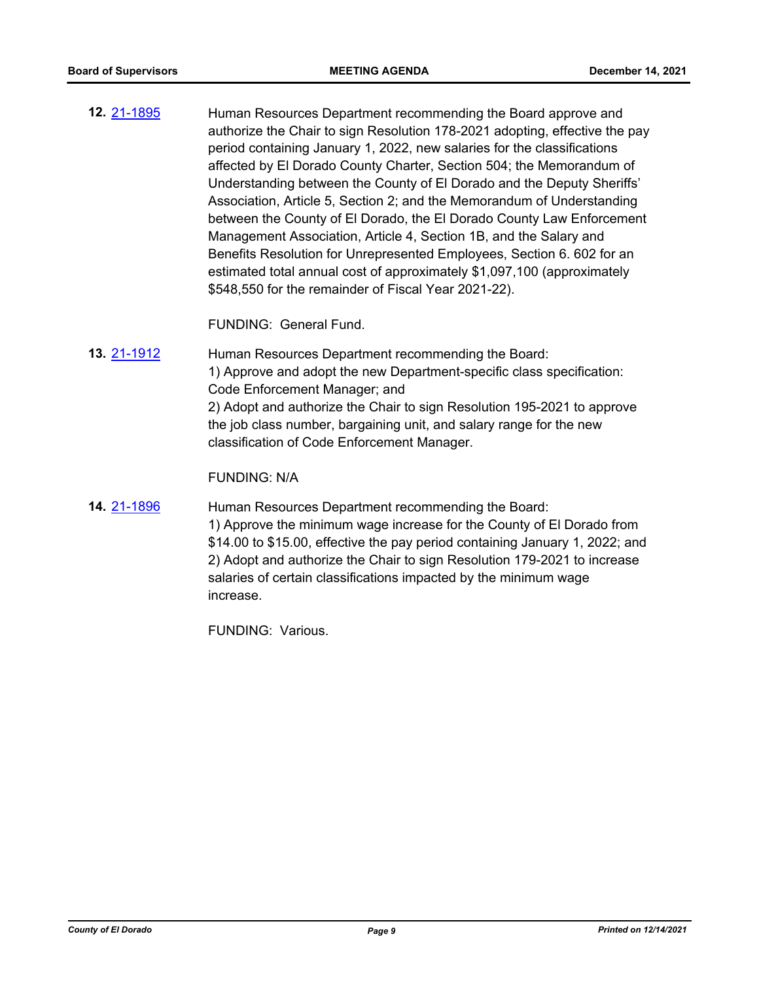Human Resources Department recommending the Board approve and authorize the Chair to sign Resolution 178-2021 adopting, effective the pay period containing January 1, 2022, new salaries for the classifications affected by El Dorado County Charter, Section 504; the Memorandum of Understanding between the County of El Dorado and the Deputy Sheriffs' Association, Article 5, Section 2; and the Memorandum of Understanding between the County of El Dorado, the El Dorado County Law Enforcement Management Association, Article 4, Section 1B, and the Salary and Benefits Resolution for Unrepresented Employees, Section 6. 602 for an estimated total annual cost of approximately \$1,097,100 (approximately \$548,550 for the remainder of Fiscal Year 2021-22). **12.** [21-1895](http://eldorado.legistar.com/gateway.aspx?m=l&id=/matter.aspx?key=30791)

FUNDING: General Fund.

Human Resources Department recommending the Board: 1) Approve and adopt the new Department-specific class specification: Code Enforcement Manager; and 2) Adopt and authorize the Chair to sign Resolution 195-2021 to approve the job class number, bargaining unit, and salary range for the new classification of Code Enforcement Manager. **13.** [21-1912](http://eldorado.legistar.com/gateway.aspx?m=l&id=/matter.aspx?key=30808)

FUNDING: N/A

Human Resources Department recommending the Board: 1) Approve the minimum wage increase for the County of El Dorado from \$14.00 to \$15.00, effective the pay period containing January 1, 2022; and 2) Adopt and authorize the Chair to sign Resolution 179-2021 to increase salaries of certain classifications impacted by the minimum wage increase. **14.** [21-1896](http://eldorado.legistar.com/gateway.aspx?m=l&id=/matter.aspx?key=30792)

FUNDING: Various.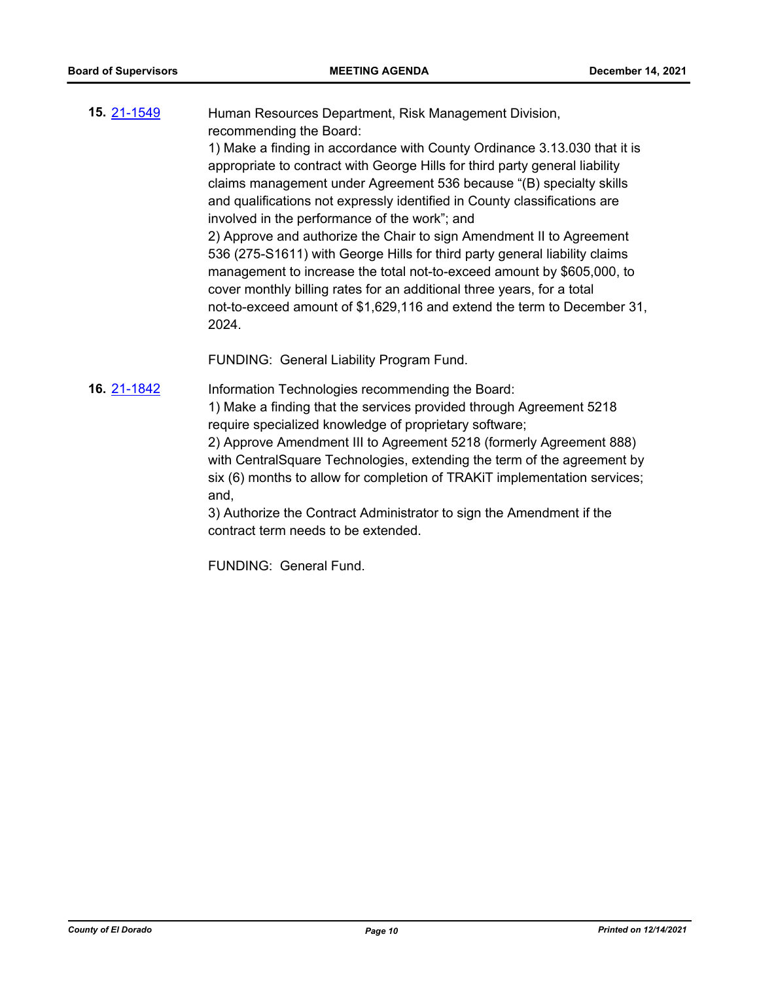Human Resources Department, Risk Management Division, recommending the Board: 1) Make a finding in accordance with County Ordinance 3.13.030 that it is **15.** [21-1549](http://eldorado.legistar.com/gateway.aspx?m=l&id=/matter.aspx?key=30444)

appropriate to contract with George Hills for third party general liability claims management under Agreement 536 because "(B) specialty skills and qualifications not expressly identified in County classifications are involved in the performance of the work"; and

2) Approve and authorize the Chair to sign Amendment II to Agreement 536 (275-S1611) with George Hills for third party general liability claims management to increase the total not-to-exceed amount by \$605,000, to cover monthly billing rates for an additional three years, for a total not-to-exceed amount of \$1,629,116 and extend the term to December 31, 2024.

FUNDING: General Liability Program Fund.

Information Technologies recommending the Board: **16.** [21-1842](http://eldorado.legistar.com/gateway.aspx?m=l&id=/matter.aspx?key=30467)

1) Make a finding that the services provided through Agreement 5218 require specialized knowledge of proprietary software;

2) Approve Amendment III to Agreement 5218 (formerly Agreement 888) with CentralSquare Technologies, extending the term of the agreement by six (6) months to allow for completion of TRAKiT implementation services; and,

3) Authorize the Contract Administrator to sign the Amendment if the contract term needs to be extended.

FUNDING: General Fund.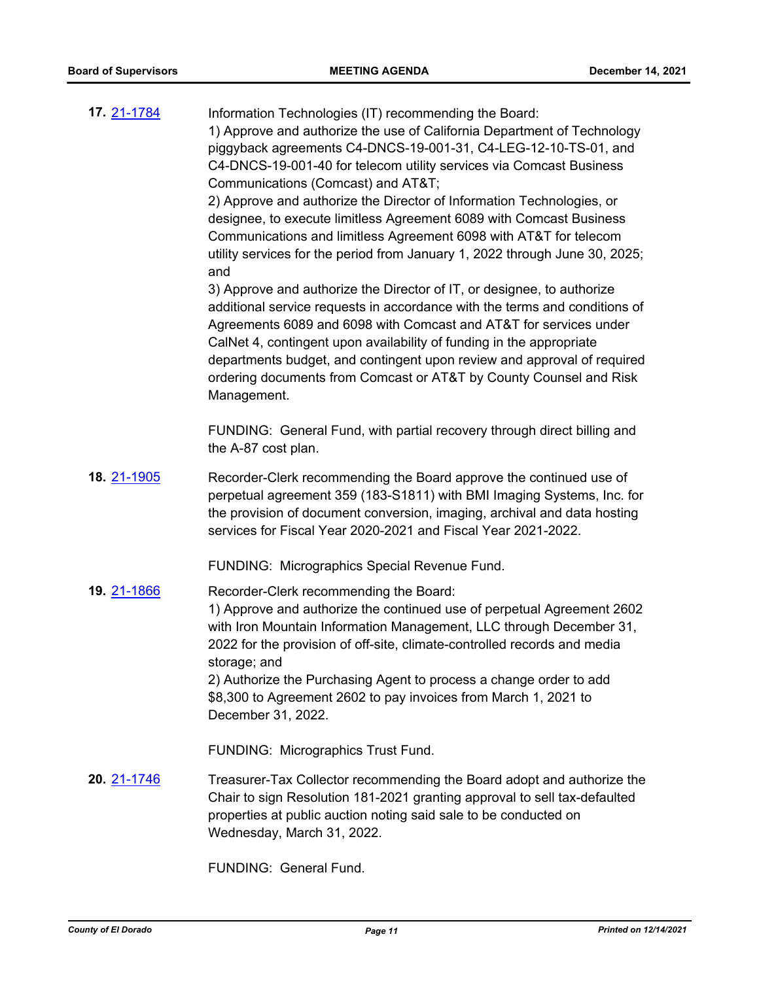| 17. 21-1784 | Information Technologies (IT) recommending the Board:<br>1) Approve and authorize the use of California Department of Technology<br>piggyback agreements C4-DNCS-19-001-31, C4-LEG-12-10-TS-01, and<br>C4-DNCS-19-001-40 for telecom utility services via Comcast Business<br>Communications (Comcast) and AT&T<br>2) Approve and authorize the Director of Information Technologies, or<br>designee, to execute limitless Agreement 6089 with Comcast Business<br>Communications and limitless Agreement 6098 with AT&T for telecom<br>utility services for the period from January 1, 2022 through June 30, 2025;<br>and<br>3) Approve and authorize the Director of IT, or designee, to authorize<br>additional service requests in accordance with the terms and conditions of<br>Agreements 6089 and 6098 with Comcast and AT&T for services under<br>CalNet 4, contingent upon availability of funding in the appropriate<br>departments budget, and contingent upon review and approval of required<br>ordering documents from Comcast or AT&T by County Counsel and Risk<br>Management. |
|-------------|-------------------------------------------------------------------------------------------------------------------------------------------------------------------------------------------------------------------------------------------------------------------------------------------------------------------------------------------------------------------------------------------------------------------------------------------------------------------------------------------------------------------------------------------------------------------------------------------------------------------------------------------------------------------------------------------------------------------------------------------------------------------------------------------------------------------------------------------------------------------------------------------------------------------------------------------------------------------------------------------------------------------------------------------------------------------------------------------------|
|             | FUNDING: General Fund, with partial recovery through direct billing and<br>the A-87 cost plan.                                                                                                                                                                                                                                                                                                                                                                                                                                                                                                                                                                                                                                                                                                                                                                                                                                                                                                                                                                                                  |
| 18. 21-1905 | Recorder-Clerk recommending the Board approve the continued use of<br>perpetual agreement 359 (183-S1811) with BMI Imaging Systems, Inc. for<br>the provision of document conversion, imaging, archival and data hosting<br>services for Fiscal Year 2020-2021 and Fiscal Year 2021-2022.                                                                                                                                                                                                                                                                                                                                                                                                                                                                                                                                                                                                                                                                                                                                                                                                       |
|             | FUNDING: Micrographics Special Revenue Fund.                                                                                                                                                                                                                                                                                                                                                                                                                                                                                                                                                                                                                                                                                                                                                                                                                                                                                                                                                                                                                                                    |
| 19. 21-1866 | Recorder-Clerk recommending the Board:<br>1) Approve and authorize the continued use of perpetual Agreement 2602<br>with Iron Mountain Information Management, LLC through December 31,<br>2022 for the provision of off-site, climate-controlled records and media<br>storage; and<br>2) Authorize the Purchasing Agent to process a change order to add<br>\$8,300 to Agreement 2602 to pay invoices from March 1, 2021 to                                                                                                                                                                                                                                                                                                                                                                                                                                                                                                                                                                                                                                                                    |
|             | December 31, 2022.                                                                                                                                                                                                                                                                                                                                                                                                                                                                                                                                                                                                                                                                                                                                                                                                                                                                                                                                                                                                                                                                              |
|             | FUNDING: Micrographics Trust Fund.                                                                                                                                                                                                                                                                                                                                                                                                                                                                                                                                                                                                                                                                                                                                                                                                                                                                                                                                                                                                                                                              |
| 20. 21-1746 | Treasurer-Tax Collector recommending the Board adopt and authorize the<br>Chair to sign Resolution 181-2021 granting approval to sell tax-defaulted<br>properties at public auction noting said sale to be conducted on<br>Wednesday, March 31, 2022.                                                                                                                                                                                                                                                                                                                                                                                                                                                                                                                                                                                                                                                                                                                                                                                                                                           |
|             | FUNDING: General Fund.                                                                                                                                                                                                                                                                                                                                                                                                                                                                                                                                                                                                                                                                                                                                                                                                                                                                                                                                                                                                                                                                          |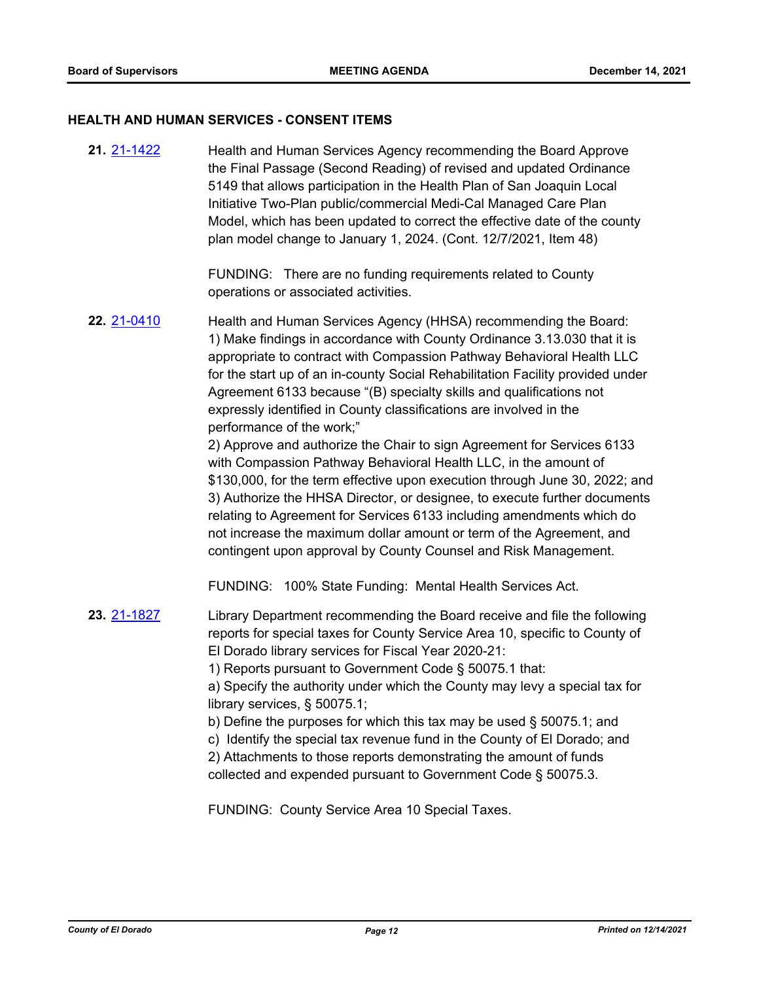#### **HEALTH AND HUMAN SERVICES - CONSENT ITEMS**

Health and Human Services Agency recommending the Board Approve the Final Passage (Second Reading) of revised and updated Ordinance 5149 that allows participation in the Health Plan of San Joaquin Local Initiative Two-Plan public/commercial Medi-Cal Managed Care Plan Model, which has been updated to correct the effective date of the county plan model change to January 1, 2024. (Cont. 12/7/2021, Item 48) **21.** [21-1422](http://eldorado.legistar.com/gateway.aspx?m=l&id=/matter.aspx?key=30317)

> FUNDING: There are no funding requirements related to County operations or associated activities.

Health and Human Services Agency (HHSA) recommending the Board: 1) Make findings in accordance with County Ordinance 3.13.030 that it is appropriate to contract with Compassion Pathway Behavioral Health LLC for the start up of an in-county Social Rehabilitation Facility provided under Agreement 6133 because "(B) specialty skills and qualifications not expressly identified in County classifications are involved in the performance of the work;" **22.** [21-0410](http://eldorado.legistar.com/gateway.aspx?m=l&id=/matter.aspx?key=29306)

> 2) Approve and authorize the Chair to sign Agreement for Services 6133 with Compassion Pathway Behavioral Health LLC, in the amount of \$130,000, for the term effective upon execution through June 30, 2022; and 3) Authorize the HHSA Director, or designee, to execute further documents relating to Agreement for Services 6133 including amendments which do not increase the maximum dollar amount or term of the Agreement, and contingent upon approval by County Counsel and Risk Management.

FUNDING: 100% State Funding: Mental Health Services Act.

Library Department recommending the Board receive and file the following reports for special taxes for County Service Area 10, specific to County of El Dorado library services for Fiscal Year 2020-21: 1) Reports pursuant to Government Code § 50075.1 that: **23.** [21-1827](http://eldorado.legistar.com/gateway.aspx?m=l&id=/matter.aspx?key=30723)

a) Specify the authority under which the County may levy a special tax for library services, § 50075.1;

- b) Define the purposes for which this tax may be used § 50075.1; and
- c) Identify the special tax revenue fund in the County of El Dorado; and

2) Attachments to those reports demonstrating the amount of funds collected and expended pursuant to Government Code § 50075.3.

FUNDING: County Service Area 10 Special Taxes.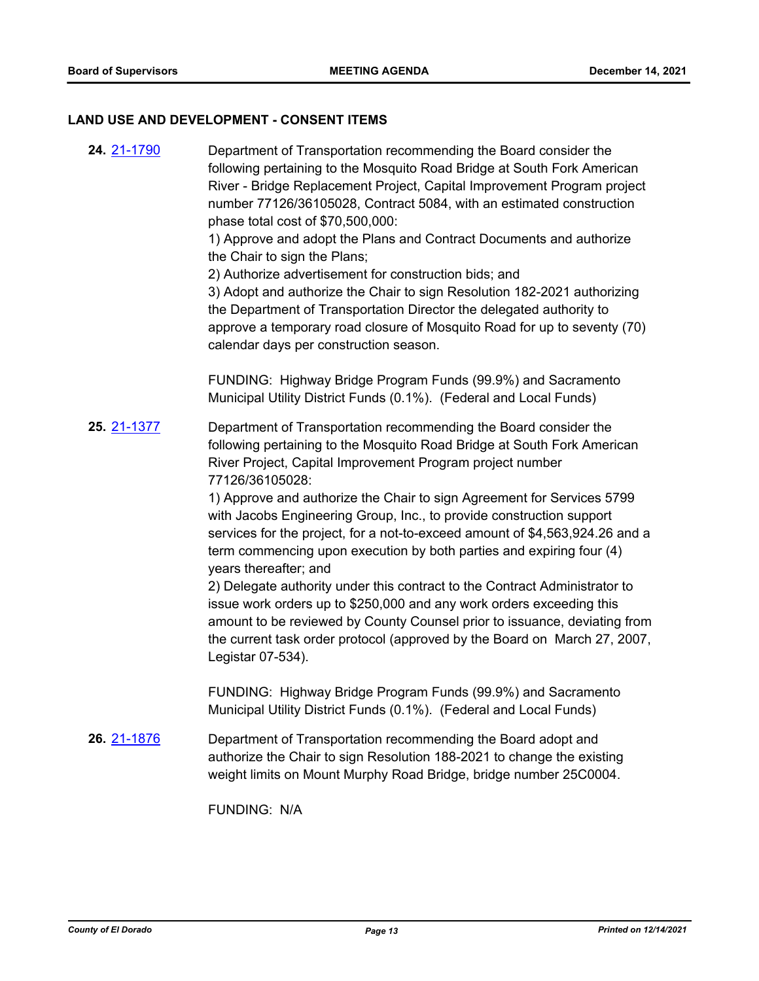## **LAND USE AND DEVELOPMENT - CONSENT ITEMS**

Department of Transportation recommending the Board consider the following pertaining to the Mosquito Road Bridge at South Fork American River - Bridge Replacement Project, Capital Improvement Program project number 77126/36105028, Contract 5084, with an estimated construction phase total cost of \$70,500,000: 1) Approve and adopt the Plans and Contract Documents and authorize the Chair to sign the Plans; 2) Authorize advertisement for construction bids; and 3) Adopt and authorize the Chair to sign Resolution 182-2021 authorizing the Department of Transportation Director the delegated authority to approve a temporary road closure of Mosquito Road for up to seventy (70) calendar days per construction season. FUNDING: Highway Bridge Program Funds (99.9%) and Sacramento Municipal Utility District Funds (0.1%). (Federal and Local Funds) **24.** [21-1790](http://eldorado.legistar.com/gateway.aspx?m=l&id=/matter.aspx?key=30686) Department of Transportation recommending the Board consider the following pertaining to the Mosquito Road Bridge at South Fork American River Project, Capital Improvement Program project number 77126/36105028: 1) Approve and authorize the Chair to sign Agreement for Services 5799 with Jacobs Engineering Group, Inc., to provide construction support services for the project, for a not-to-exceed amount of \$4,563,924.26 and a term commencing upon execution by both parties and expiring four (4) years thereafter; and 2) Delegate authority under this contract to the Contract Administrator to issue work orders up to \$250,000 and any work orders exceeding this amount to be reviewed by County Counsel prior to issuance, deviating from the current task order protocol (approved by the Board on March 27, 2007, Legistar 07-534). FUNDING: Highway Bridge Program Funds (99.9%) and Sacramento Municipal Utility District Funds (0.1%). (Federal and Local Funds) **25.** [21-1377](http://eldorado.legistar.com/gateway.aspx?m=l&id=/matter.aspx?key=30272) Department of Transportation recommending the Board adopt and authorize the Chair to sign Resolution 188-2021 to change the existing weight limits on Mount Murphy Road Bridge, bridge number 25C0004. FUNDING: N/A **26.** [21-1876](http://eldorado.legistar.com/gateway.aspx?m=l&id=/matter.aspx?key=30772)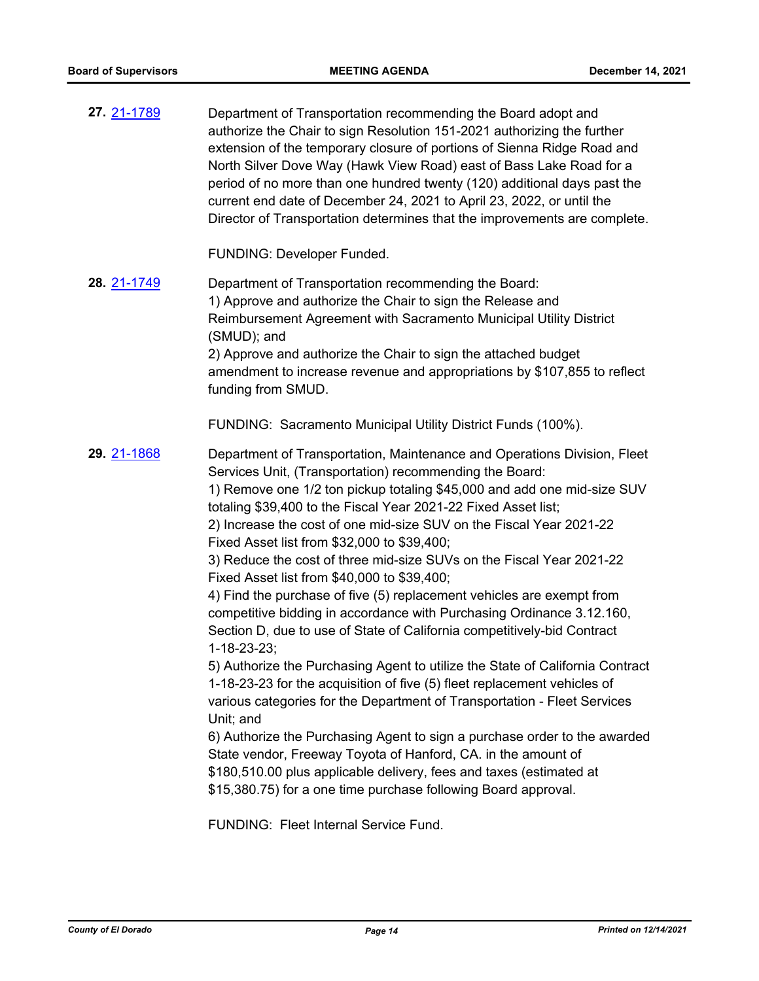| 27. 21-1789 | Department of Transportation recommending the Board adopt and<br>authorize the Chair to sign Resolution 151-2021 authorizing the further<br>extension of the temporary closure of portions of Sienna Ridge Road and<br>North Silver Dove Way (Hawk View Road) east of Bass Lake Road for a<br>period of no more than one hundred twenty (120) additional days past the<br>current end date of December 24, 2021 to April 23, 2022, or until the<br>Director of Transportation determines that the improvements are complete.                                                                                                                                                                                                                                                                                                                                                                                                                                                                                                                                                                                                                                                                                                                                                                                                                                             |
|-------------|--------------------------------------------------------------------------------------------------------------------------------------------------------------------------------------------------------------------------------------------------------------------------------------------------------------------------------------------------------------------------------------------------------------------------------------------------------------------------------------------------------------------------------------------------------------------------------------------------------------------------------------------------------------------------------------------------------------------------------------------------------------------------------------------------------------------------------------------------------------------------------------------------------------------------------------------------------------------------------------------------------------------------------------------------------------------------------------------------------------------------------------------------------------------------------------------------------------------------------------------------------------------------------------------------------------------------------------------------------------------------|
|             | FUNDING: Developer Funded.                                                                                                                                                                                                                                                                                                                                                                                                                                                                                                                                                                                                                                                                                                                                                                                                                                                                                                                                                                                                                                                                                                                                                                                                                                                                                                                                               |
| 28. 21-1749 | Department of Transportation recommending the Board:<br>1) Approve and authorize the Chair to sign the Release and<br>Reimbursement Agreement with Sacramento Municipal Utility District<br>(SMUD); and<br>2) Approve and authorize the Chair to sign the attached budget<br>amendment to increase revenue and appropriations by \$107,855 to reflect<br>funding from SMUD.                                                                                                                                                                                                                                                                                                                                                                                                                                                                                                                                                                                                                                                                                                                                                                                                                                                                                                                                                                                              |
|             | FUNDING: Sacramento Municipal Utility District Funds (100%).                                                                                                                                                                                                                                                                                                                                                                                                                                                                                                                                                                                                                                                                                                                                                                                                                                                                                                                                                                                                                                                                                                                                                                                                                                                                                                             |
| 29. 21-1868 | Department of Transportation, Maintenance and Operations Division, Fleet<br>Services Unit, (Transportation) recommending the Board:<br>1) Remove one 1/2 ton pickup totaling \$45,000 and add one mid-size SUV<br>totaling \$39,400 to the Fiscal Year 2021-22 Fixed Asset list;<br>2) Increase the cost of one mid-size SUV on the Fiscal Year 2021-22<br>Fixed Asset list from \$32,000 to \$39,400;<br>3) Reduce the cost of three mid-size SUVs on the Fiscal Year 2021-22<br>Fixed Asset list from \$40,000 to \$39,400;<br>4) Find the purchase of five (5) replacement vehicles are exempt from<br>competitive bidding in accordance with Purchasing Ordinance 3.12.160,<br>Section D, due to use of State of California competitively-bid Contract<br>$1 - 18 - 23 - 23$ ;<br>5) Authorize the Purchasing Agent to utilize the State of California Contract<br>1-18-23-23 for the acquisition of five (5) fleet replacement vehicles of<br>various categories for the Department of Transportation - Fleet Services<br>Unit; and<br>6) Authorize the Purchasing Agent to sign a purchase order to the awarded<br>State vendor, Freeway Toyota of Hanford, CA. in the amount of<br>\$180,510.00 plus applicable delivery, fees and taxes (estimated at<br>\$15,380.75) for a one time purchase following Board approval.<br>FUNDING: Fleet Internal Service Fund. |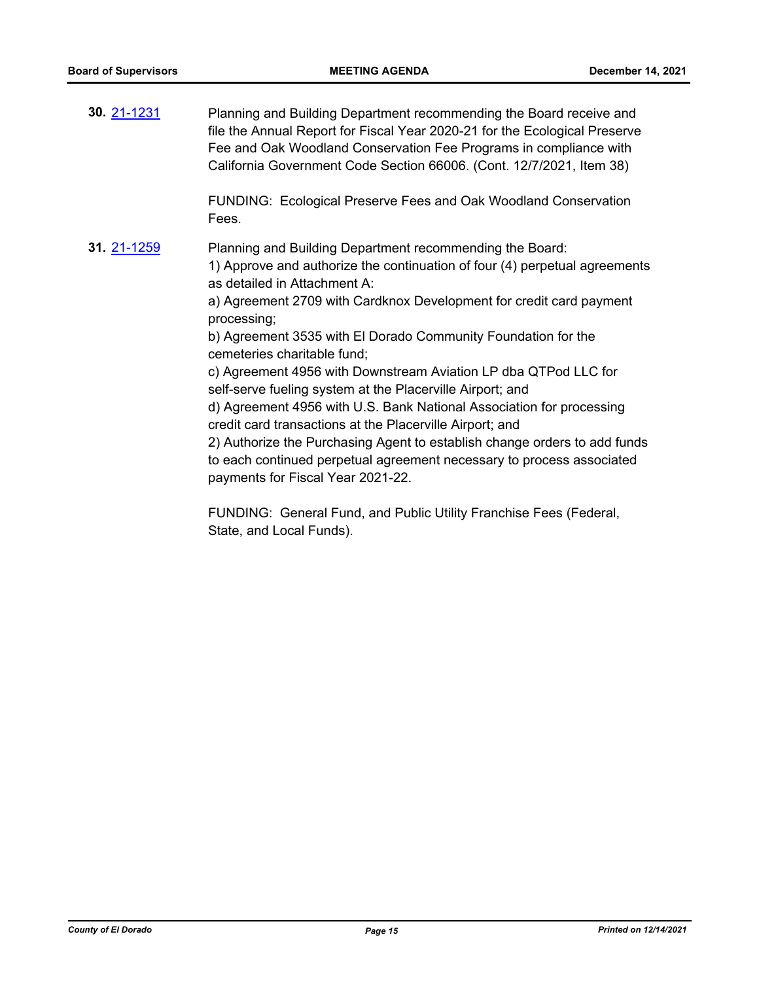Planning and Building Department recommending the Board receive and file the Annual Report for Fiscal Year 2020-21 for the Ecological Preserve Fee and Oak Woodland Conservation Fee Programs in compliance with California Government Code Section 66006. (Cont. 12/7/2021, Item 38) FUNDING: Ecological Preserve Fees and Oak Woodland Conservation Fees. **30.** [21-1231](http://eldorado.legistar.com/gateway.aspx?m=l&id=/matter.aspx?key=30126) Planning and Building Department recommending the Board: 1) Approve and authorize the continuation of four (4) perpetual agreements as detailed in Attachment A: a) Agreement 2709 with Cardknox Development for credit card payment processing; b) Agreement 3535 with El Dorado Community Foundation for the cemeteries charitable fund; c) Agreement 4956 with Downstream Aviation LP dba QTPod LLC for self-serve fueling system at the Placerville Airport; and d) Agreement 4956 with U.S. Bank National Association for processing credit card transactions at the Placerville Airport; and 2) Authorize the Purchasing Agent to establish change orders to add funds to each continued perpetual agreement necessary to process associated payments for Fiscal Year 2021-22. **31.** [21-1259](http://eldorado.legistar.com/gateway.aspx?m=l&id=/matter.aspx?key=30154)

> FUNDING: General Fund, and Public Utility Franchise Fees (Federal, State, and Local Funds).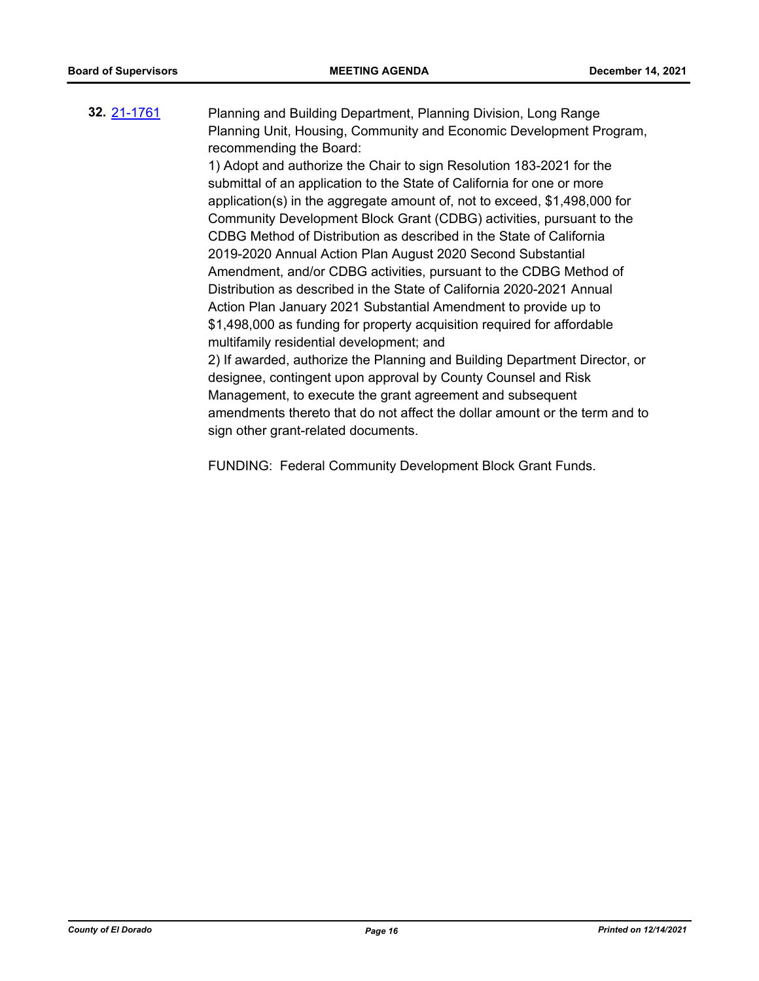#### Planning and Building Department, Planning Division, Long Range Planning Unit, Housing, Community and Economic Development Program, recommending the Board: **32.** [21-1761](http://eldorado.legistar.com/gateway.aspx?m=l&id=/matter.aspx?key=30657)

1) Adopt and authorize the Chair to sign Resolution 183-2021 for the submittal of an application to the State of California for one or more application(s) in the aggregate amount of, not to exceed, \$1,498,000 for Community Development Block Grant (CDBG) activities, pursuant to the CDBG Method of Distribution as described in the State of California 2019-2020 Annual Action Plan August 2020 Second Substantial Amendment, and/or CDBG activities, pursuant to the CDBG Method of Distribution as described in the State of California 2020-2021 Annual Action Plan January 2021 Substantial Amendment to provide up to \$1,498,000 as funding for property acquisition required for affordable multifamily residential development; and

2) If awarded, authorize the Planning and Building Department Director, or designee, contingent upon approval by County Counsel and Risk Management, to execute the grant agreement and subsequent amendments thereto that do not affect the dollar amount or the term and to sign other grant-related documents.

FUNDING: Federal Community Development Block Grant Funds.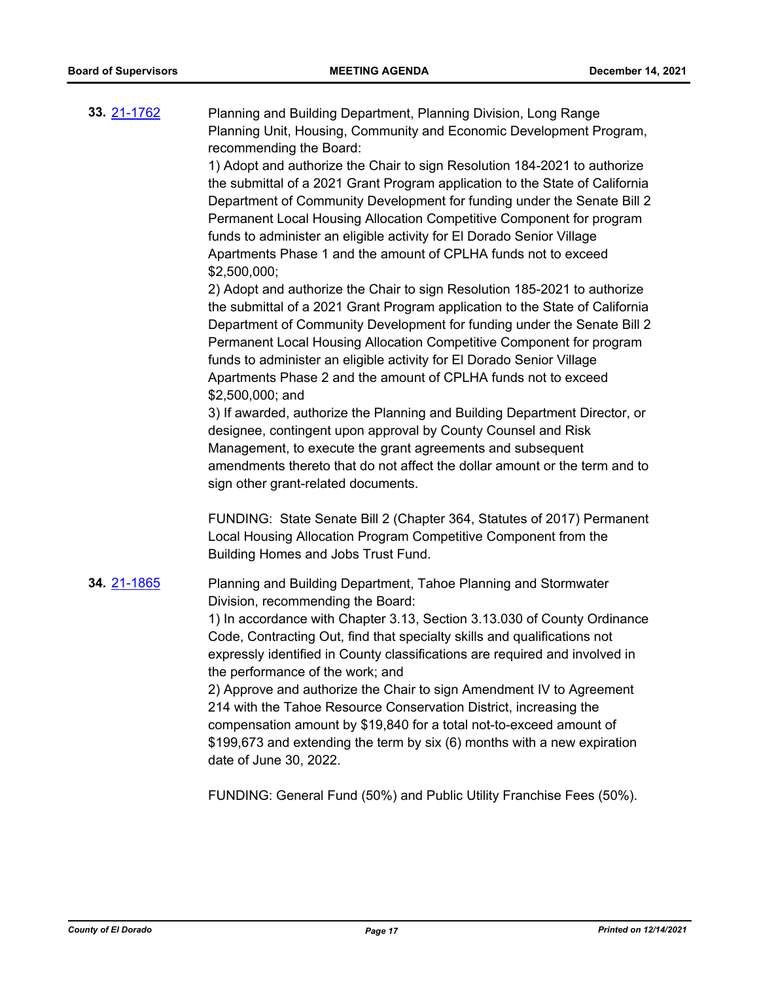Planning and Building Department, Planning Division, Long Range Planning Unit, Housing, Community and Economic Development Program, recommending the Board: **33.** [21-1762](http://eldorado.legistar.com/gateway.aspx?m=l&id=/matter.aspx?key=30658)

> 1) Adopt and authorize the Chair to sign Resolution 184-2021 to authorize the submittal of a 2021 Grant Program application to the State of California Department of Community Development for funding under the Senate Bill 2 Permanent Local Housing Allocation Competitive Component for program funds to administer an eligible activity for El Dorado Senior Village Apartments Phase 1 and the amount of CPLHA funds not to exceed \$2,500,000;

> 2) Adopt and authorize the Chair to sign Resolution 185-2021 to authorize the submittal of a 2021 Grant Program application to the State of California Department of Community Development for funding under the Senate Bill 2 Permanent Local Housing Allocation Competitive Component for program funds to administer an eligible activity for El Dorado Senior Village Apartments Phase 2 and the amount of CPLHA funds not to exceed \$2,500,000; and

> 3) If awarded, authorize the Planning and Building Department Director, or designee, contingent upon approval by County Counsel and Risk Management, to execute the grant agreements and subsequent amendments thereto that do not affect the dollar amount or the term and to sign other grant-related documents.

> FUNDING: State Senate Bill 2 (Chapter 364, Statutes of 2017) Permanent Local Housing Allocation Program Competitive Component from the Building Homes and Jobs Trust Fund.

Planning and Building Department, Tahoe Planning and Stormwater Division, recommending the Board: 1) In accordance with Chapter 3.13, Section 3.13.030 of County Ordinance **34.** [21-1865](http://eldorado.legistar.com/gateway.aspx?m=l&id=/matter.aspx?key=30761)

Code, Contracting Out, find that specialty skills and qualifications not expressly identified in County classifications are required and involved in the performance of the work; and

2) Approve and authorize the Chair to sign Amendment IV to Agreement 214 with the Tahoe Resource Conservation District, increasing the compensation amount by \$19,840 for a total not-to-exceed amount of \$199,673 and extending the term by six (6) months with a new expiration date of June 30, 2022.

FUNDING: General Fund (50%) and Public Utility Franchise Fees (50%).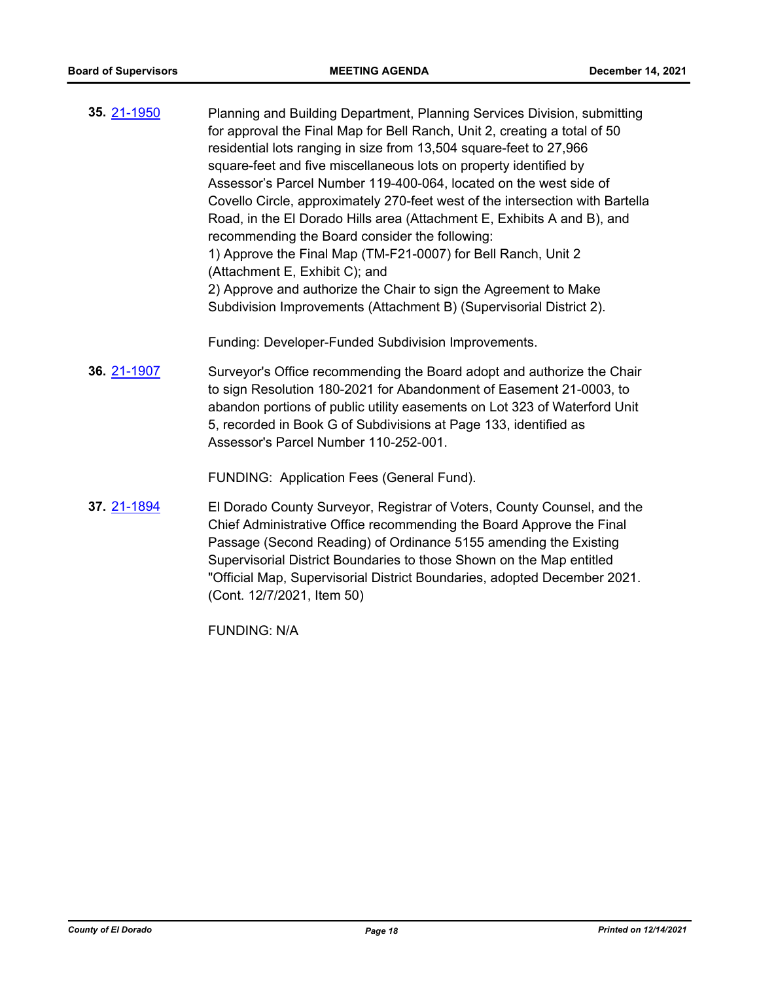Planning and Building Department, Planning Services Division, submitting for approval the Final Map for Bell Ranch, Unit 2, creating a total of 50 residential lots ranging in size from 13,504 square-feet to 27,966 square-feet and five miscellaneous lots on property identified by Assessor's Parcel Number 119-400-064, located on the west side of Covello Circle, approximately 270-feet west of the intersection with Bartella Road, in the El Dorado Hills area (Attachment E, Exhibits A and B), and recommending the Board consider the following: 1) Approve the Final Map (TM-F21-0007) for Bell Ranch, Unit 2 (Attachment E, Exhibit C); and 2) Approve and authorize the Chair to sign the Agreement to Make Subdivision Improvements (Attachment B) (Supervisorial District 2). **35.** [21-1950](http://eldorado.legistar.com/gateway.aspx?m=l&id=/matter.aspx?key=30846)

Funding: Developer-Funded Subdivision Improvements.

Surveyor's Office recommending the Board adopt and authorize the Chair to sign Resolution 180-2021 for Abandonment of Easement 21-0003, to abandon portions of public utility easements on Lot 323 of Waterford Unit 5, recorded in Book G of Subdivisions at Page 133, identified as Assessor's Parcel Number 110-252-001. **36.** [21-1907](http://eldorado.legistar.com/gateway.aspx?m=l&id=/matter.aspx?key=30803)

FUNDING: Application Fees (General Fund).

El Dorado County Surveyor, Registrar of Voters, County Counsel, and the Chief Administrative Office recommending the Board Approve the Final Passage (Second Reading) of Ordinance 5155 amending the Existing Supervisorial District Boundaries to those Shown on the Map entitled "Official Map, Supervisorial District Boundaries, adopted December 2021. (Cont. 12/7/2021, Item 50) **37.** [21-1894](http://eldorado.legistar.com/gateway.aspx?m=l&id=/matter.aspx?key=30790)

FUNDING: N/A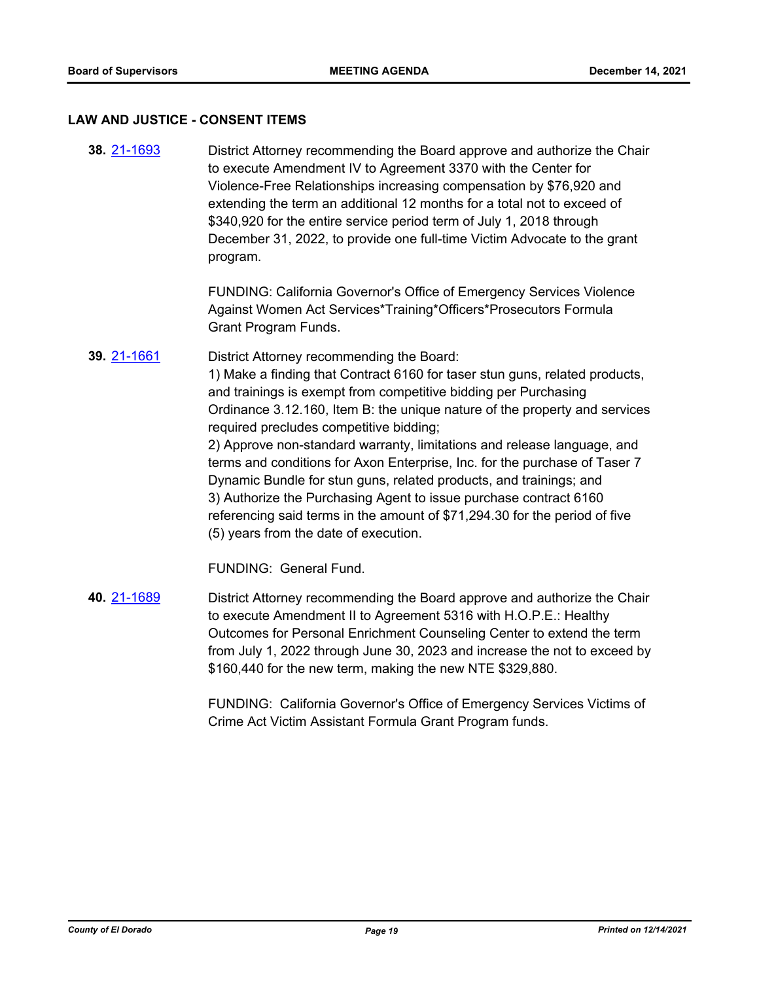#### **LAW AND JUSTICE - CONSENT ITEMS**

District Attorney recommending the Board approve and authorize the Chair to execute Amendment IV to Agreement 3370 with the Center for Violence-Free Relationships increasing compensation by \$76,920 and extending the term an additional 12 months for a total not to exceed of \$340,920 for the entire service period term of July 1, 2018 through December 31, 2022, to provide one full-time Victim Advocate to the grant program. **38.** [21-1693](http://eldorado.legistar.com/gateway.aspx?m=l&id=/matter.aspx?key=30588)

> FUNDING: California Governor's Office of Emergency Services Violence Against Women Act Services\*Training\*Officers\*Prosecutors Formula Grant Program Funds.

District Attorney recommending the Board: 1) Make a finding that Contract 6160 for taser stun guns, related products, and trainings is exempt from competitive bidding per Purchasing Ordinance 3.12.160, Item B: the unique nature of the property and services required precludes competitive bidding; 2) Approve non-standard warranty, limitations and release language, and terms and conditions for Axon Enterprise, Inc. for the purchase of Taser 7 Dynamic Bundle for stun guns, related products, and trainings; and 3) Authorize the Purchasing Agent to issue purchase contract 6160 referencing said terms in the amount of \$71,294.30 for the period of five (5) years from the date of execution. **39.** [21-1661](http://eldorado.legistar.com/gateway.aspx?m=l&id=/matter.aspx?key=30556)

FUNDING: General Fund.

District Attorney recommending the Board approve and authorize the Chair to execute Amendment II to Agreement 5316 with H.O.P.E.: Healthy Outcomes for Personal Enrichment Counseling Center to extend the term from July 1, 2022 through June 30, 2023 and increase the not to exceed by \$160,440 for the new term, making the new NTE \$329,880. **40.** [21-1689](http://eldorado.legistar.com/gateway.aspx?m=l&id=/matter.aspx?key=30584)

> FUNDING: California Governor's Office of Emergency Services Victims of Crime Act Victim Assistant Formula Grant Program funds.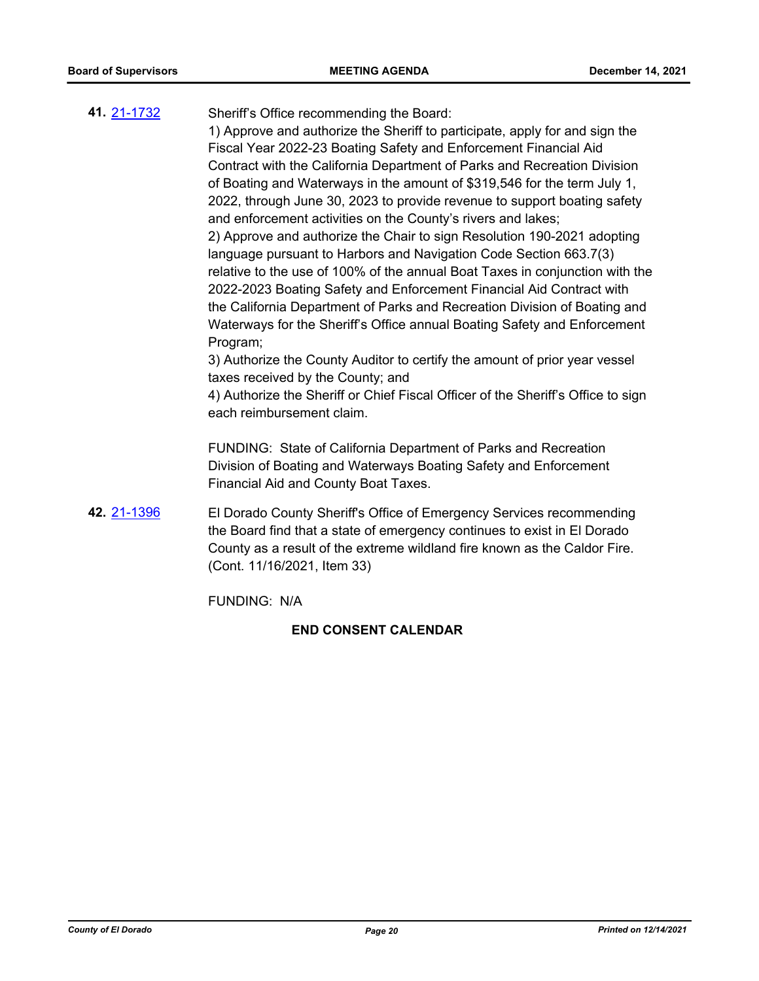# Sheriff's Office recommending the Board: 1) Approve and authorize the Sheriff to participate, apply for and sign the Fiscal Year 2022-23 Boating Safety and Enforcement Financial Aid Contract with the California Department of Parks and Recreation Division of Boating and Waterways in the amount of \$319,546 for the term July 1, 2022, through June 30, 2023 to provide revenue to support boating safety and enforcement activities on the County's rivers and lakes; 2) Approve and authorize the Chair to sign Resolution 190-2021 adopting language pursuant to Harbors and Navigation Code Section 663.7(3) relative to the use of 100% of the annual Boat Taxes in conjunction with the 2022-2023 Boating Safety and Enforcement Financial Aid Contract with the California Department of Parks and Recreation Division of Boating and Waterways for the Sheriff's Office annual Boating Safety and Enforcement Program; 3) Authorize the County Auditor to certify the amount of prior year vessel taxes received by the County; and 4) Authorize the Sheriff or Chief Fiscal Officer of the Sheriff's Office to sign each reimbursement claim. FUNDING: State of California Department of Parks and Recreation Division of Boating and Waterways Boating Safety and Enforcement Financial Aid and County Boat Taxes. **41.** [21-1732](http://eldorado.legistar.com/gateway.aspx?m=l&id=/matter.aspx?key=30627)

El Dorado County Sheriff's Office of Emergency Services recommending the Board find that a state of emergency continues to exist in El Dorado County as a result of the extreme wildland fire known as the Caldor Fire. (Cont. 11/16/2021, Item 33) **42.** [21-1396](http://eldorado.legistar.com/gateway.aspx?m=l&id=/matter.aspx?key=30291)

FUNDING: N/A

# **END CONSENT CALENDAR**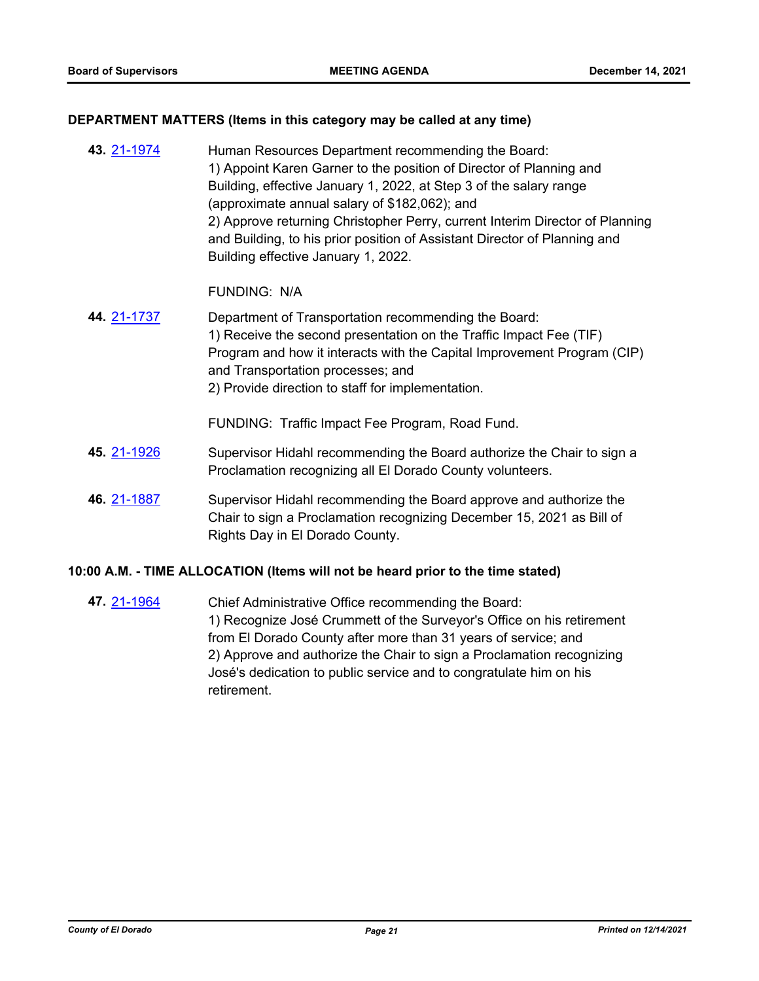# **DEPARTMENT MATTERS (Items in this category may be called at any time)**

| 43. 21-1974 | Human Resources Department recommending the Board:<br>1) Appoint Karen Garner to the position of Director of Planning and<br>Building, effective January 1, 2022, at Step 3 of the salary range<br>(approximate annual salary of \$182,062); and<br>2) Approve returning Christopher Perry, current Interim Director of Planning<br>and Building, to his prior position of Assistant Director of Planning and<br>Building effective January 1, 2022. |
|-------------|------------------------------------------------------------------------------------------------------------------------------------------------------------------------------------------------------------------------------------------------------------------------------------------------------------------------------------------------------------------------------------------------------------------------------------------------------|
|             | <b>FUNDING: N/A</b>                                                                                                                                                                                                                                                                                                                                                                                                                                  |
| 44. 21-1737 | Department of Transportation recommending the Board:<br>1) Receive the second presentation on the Traffic Impact Fee (TIF)<br>Program and how it interacts with the Capital Improvement Program (CIP)<br>and Transportation processes; and<br>2) Provide direction to staff for implementation.                                                                                                                                                      |
|             | FUNDING: Traffic Impact Fee Program, Road Fund.                                                                                                                                                                                                                                                                                                                                                                                                      |
| 45. 21-1926 | Supervisor Hidahl recommending the Board authorize the Chair to sign a<br>Proclamation recognizing all El Dorado County volunteers.                                                                                                                                                                                                                                                                                                                  |
| 46. 21-1887 | Supervisor Hidahl recommending the Board approve and authorize the<br>Chair to sign a Proclamation recognizing December 15, 2021 as Bill of<br>Rights Day in El Dorado County.                                                                                                                                                                                                                                                                       |

# **10:00 A.M. - TIME ALLOCATION (Items will not be heard prior to the time stated)**

Chief Administrative Office recommending the Board: 1) Recognize José Crummett of the Surveyor's Office on his retirement from El Dorado County after more than 31 years of service; and 2) Approve and authorize the Chair to sign a Proclamation recognizing José's dedication to public service and to congratulate him on his retirement. **47.** [21-1964](http://eldorado.legistar.com/gateway.aspx?m=l&id=/matter.aspx?key=30860)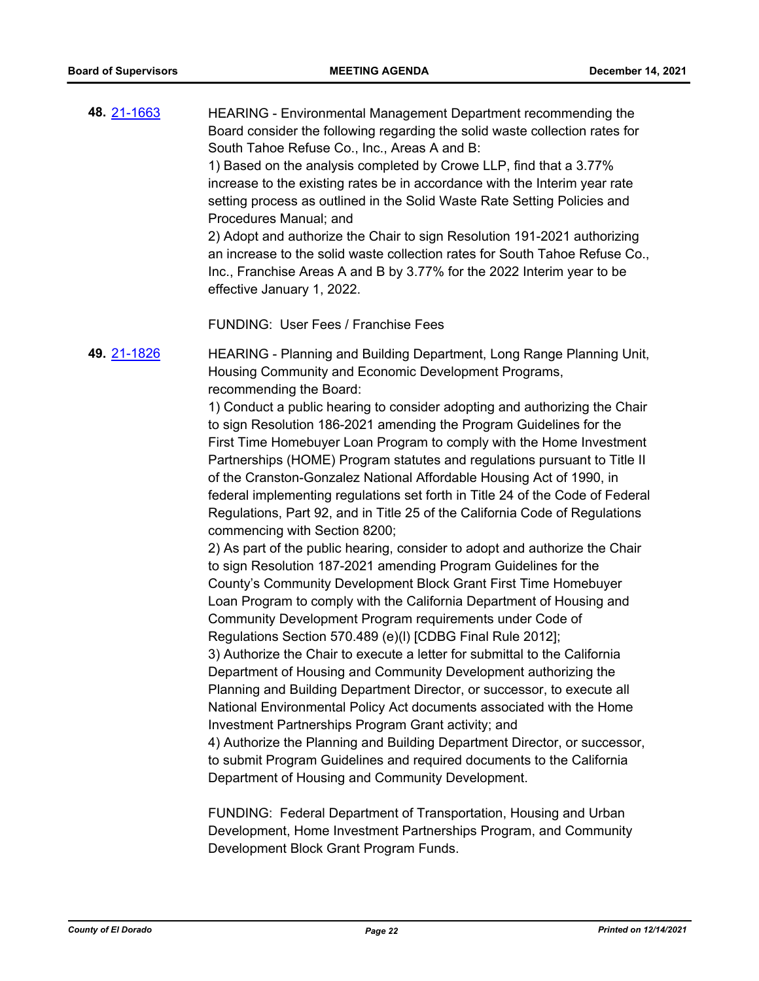HEARING - Environmental Management Department recommending the Board consider the following regarding the solid waste collection rates for South Tahoe Refuse Co., Inc., Areas A and B: 1) Based on the analysis completed by Crowe LLP, find that a 3.77% increase to the existing rates be in accordance with the Interim year rate setting process as outlined in the Solid Waste Rate Setting Policies and Procedures Manual; and 2) Adopt and authorize the Chair to sign Resolution 191-2021 authorizing an increase to the solid waste collection rates for South Tahoe Refuse Co., Inc., Franchise Areas A and B by 3.77% for the 2022 Interim year to be effective January 1, 2022. **48.** [21-1663](http://eldorado.legistar.com/gateway.aspx?m=l&id=/matter.aspx?key=30558)

FUNDING: User Fees / Franchise Fees

HEARING - Planning and Building Department, Long Range Planning Unit, Housing Community and Economic Development Programs, recommending the Board: **49.** [21-1826](http://eldorado.legistar.com/gateway.aspx?m=l&id=/matter.aspx?key=30722)

> 1) Conduct a public hearing to consider adopting and authorizing the Chair to sign Resolution 186-2021 amending the Program Guidelines for the First Time Homebuyer Loan Program to comply with the Home Investment Partnerships (HOME) Program statutes and regulations pursuant to Title II of the Cranston-Gonzalez National Affordable Housing Act of 1990, in federal implementing regulations set forth in Title 24 of the Code of Federal Regulations, Part 92, and in Title 25 of the California Code of Regulations commencing with Section 8200;

2) As part of the public hearing, consider to adopt and authorize the Chair to sign Resolution 187-2021 amending Program Guidelines for the County's Community Development Block Grant First Time Homebuyer Loan Program to comply with the California Department of Housing and Community Development Program requirements under Code of Regulations Section 570.489 (e)(l) [CDBG Final Rule 2012]; 3) Authorize the Chair to execute a letter for submittal to the California Department of Housing and Community Development authorizing the Planning and Building Department Director, or successor, to execute all National Environmental Policy Act documents associated with the Home Investment Partnerships Program Grant activity; and 4) Authorize the Planning and Building Department Director, or successor, to submit Program Guidelines and required documents to the California Department of Housing and Community Development.

FUNDING: Federal Department of Transportation, Housing and Urban Development, Home Investment Partnerships Program, and Community Development Block Grant Program Funds.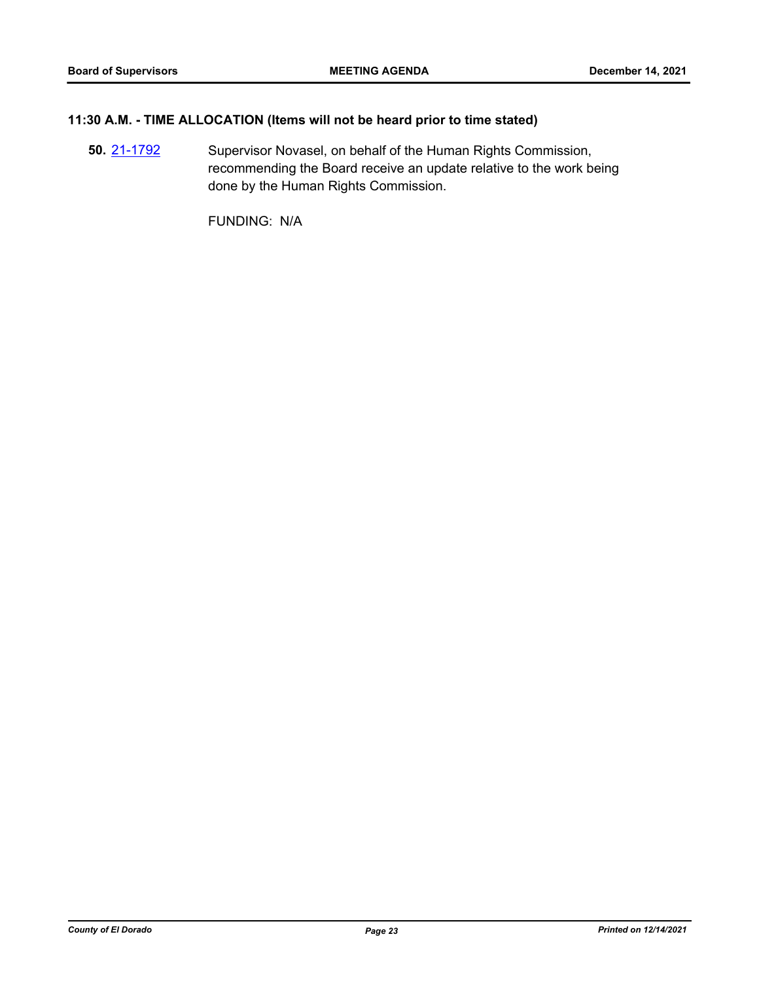# **11:30 A.M. - TIME ALLOCATION (Items will not be heard prior to time stated)**

Supervisor Novasel, on behalf of the Human Rights Commission, recommending the Board receive an update relative to the work being done by the Human Rights Commission. **50.** [21-1792](http://eldorado.legistar.com/gateway.aspx?m=l&id=/matter.aspx?key=30688)

FUNDING: N/A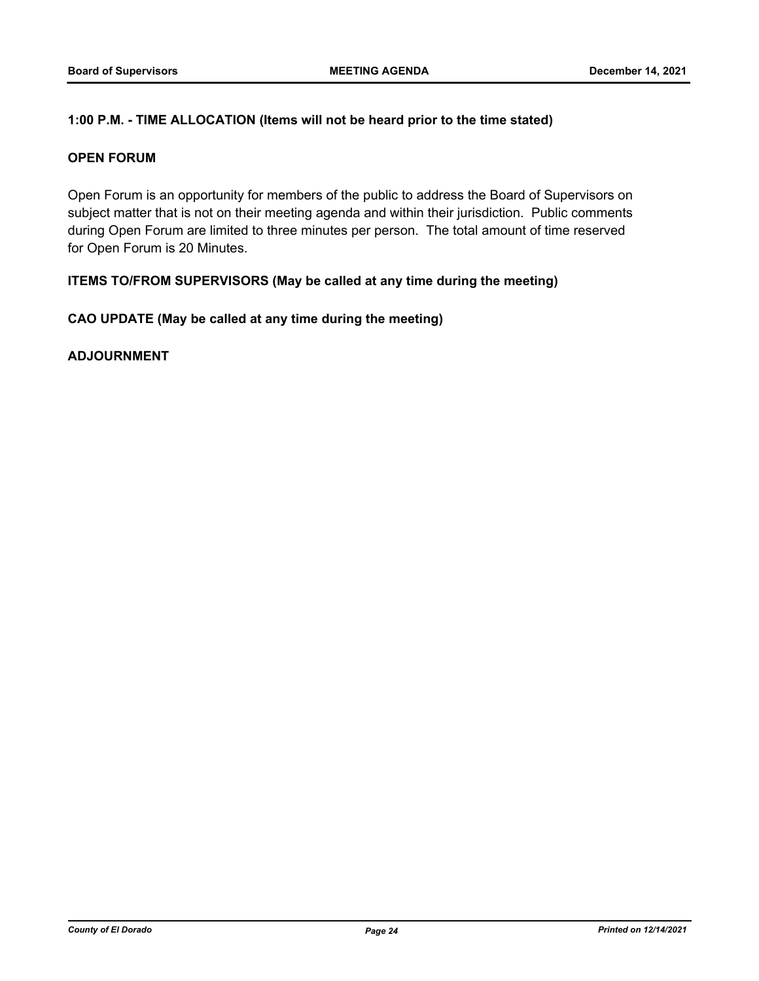# **1:00 P.M. - TIME ALLOCATION (Items will not be heard prior to the time stated)**

# **OPEN FORUM**

Open Forum is an opportunity for members of the public to address the Board of Supervisors on subject matter that is not on their meeting agenda and within their jurisdiction. Public comments during Open Forum are limited to three minutes per person. The total amount of time reserved for Open Forum is 20 Minutes.

# **ITEMS TO/FROM SUPERVISORS (May be called at any time during the meeting)**

# **CAO UPDATE (May be called at any time during the meeting)**

**ADJOURNMENT**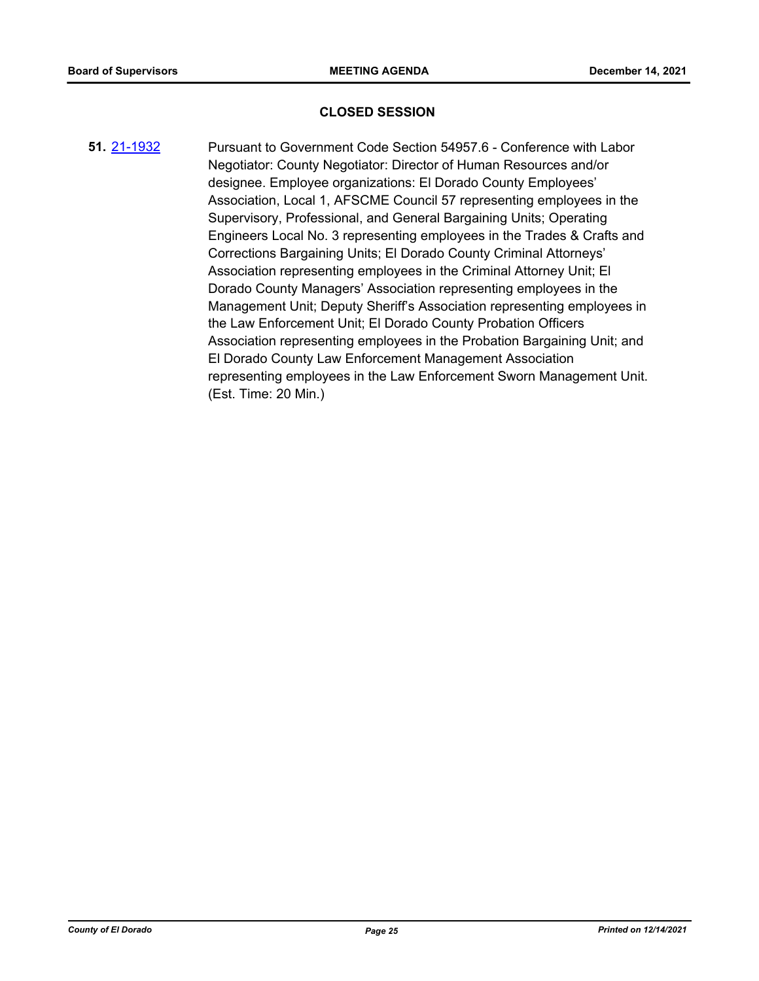### **CLOSED SESSION**

Pursuant to Government Code Section 54957.6 - Conference with Labor Negotiator: County Negotiator: Director of Human Resources and/or designee. Employee organizations: El Dorado County Employees' Association, Local 1, AFSCME Council 57 representing employees in the Supervisory, Professional, and General Bargaining Units; Operating Engineers Local No. 3 representing employees in the Trades & Crafts and Corrections Bargaining Units; El Dorado County Criminal Attorneys' Association representing employees in the Criminal Attorney Unit; El Dorado County Managers' Association representing employees in the Management Unit; Deputy Sheriff's Association representing employees in the Law Enforcement Unit; El Dorado County Probation Officers Association representing employees in the Probation Bargaining Unit; and El Dorado County Law Enforcement Management Association representing employees in the Law Enforcement Sworn Management Unit. (Est. Time: 20 Min.) **51.** [21-1932](http://eldorado.legistar.com/gateway.aspx?m=l&id=/matter.aspx?key=30828)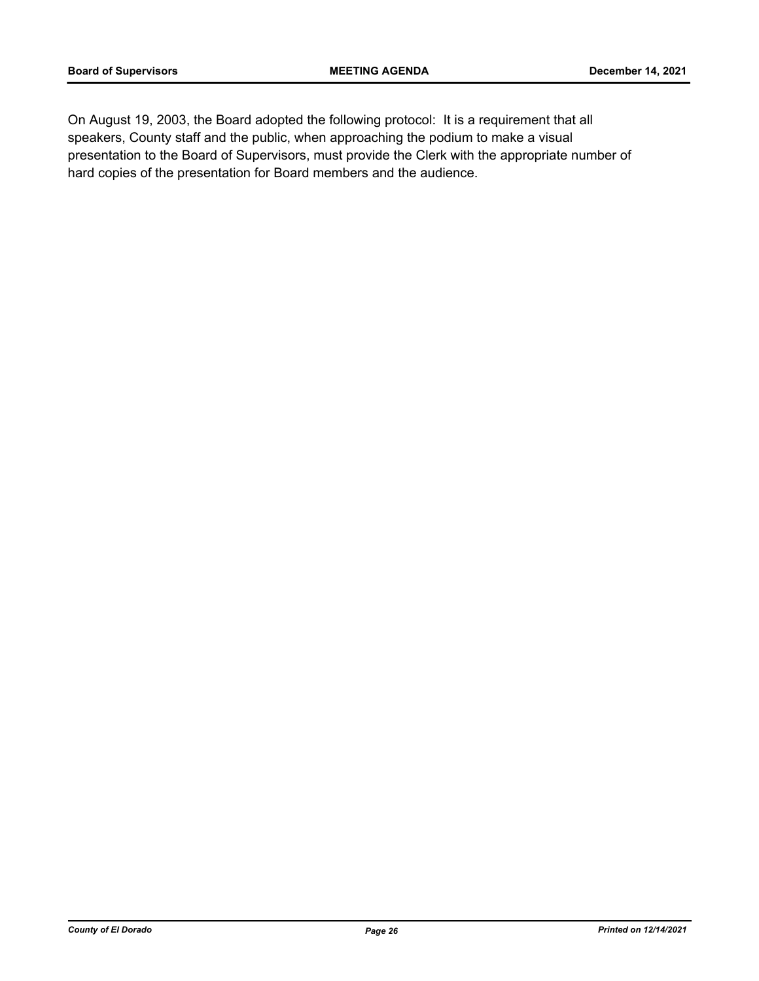On August 19, 2003, the Board adopted the following protocol: It is a requirement that all speakers, County staff and the public, when approaching the podium to make a visual presentation to the Board of Supervisors, must provide the Clerk with the appropriate number of hard copies of the presentation for Board members and the audience.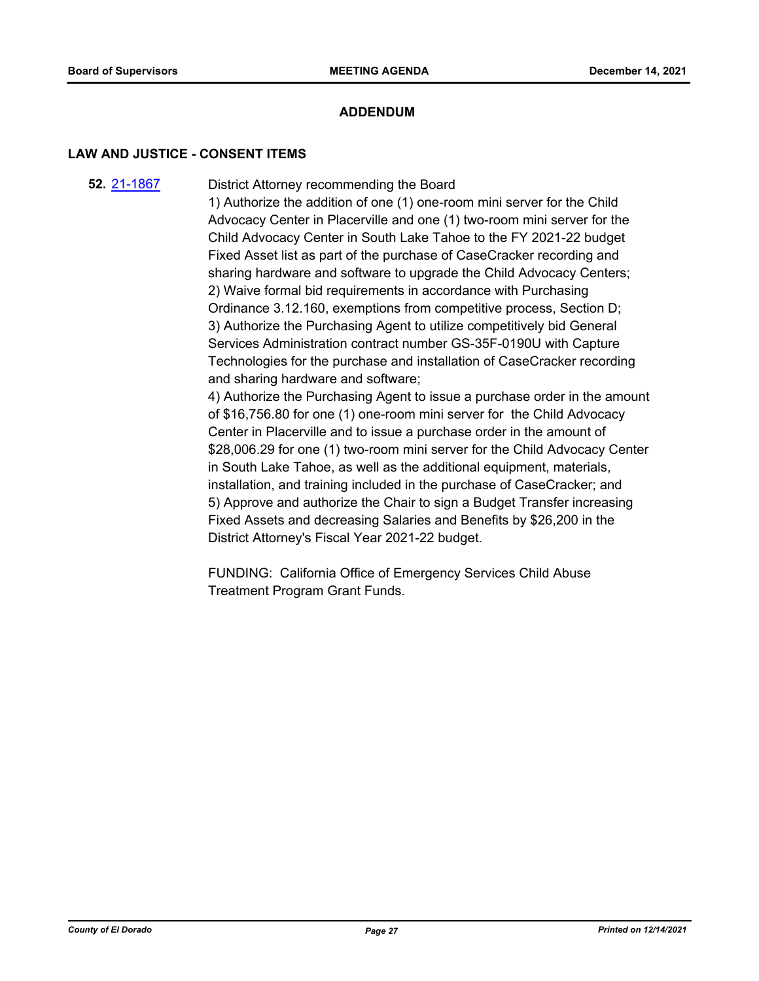# **ADDENDUM**

#### **LAW AND JUSTICE - CONSENT ITEMS**

District Attorney recommending the Board **52.** [21-1867](http://eldorado.legistar.com/gateway.aspx?m=l&id=/matter.aspx?key=30763)

> 1) Authorize the addition of one (1) one-room mini server for the Child Advocacy Center in Placerville and one (1) two-room mini server for the Child Advocacy Center in South Lake Tahoe to the FY 2021-22 budget Fixed Asset list as part of the purchase of CaseCracker recording and sharing hardware and software to upgrade the Child Advocacy Centers; 2) Waive formal bid requirements in accordance with Purchasing Ordinance 3.12.160, exemptions from competitive process, Section D; 3) Authorize the Purchasing Agent to utilize competitively bid General Services Administration contract number GS-35F-0190U with Capture Technologies for the purchase and installation of CaseCracker recording and sharing hardware and software;

4) Authorize the Purchasing Agent to issue a purchase order in the amount of \$16,756.80 for one (1) one-room mini server for the Child Advocacy Center in Placerville and to issue a purchase order in the amount of \$28,006.29 for one (1) two-room mini server for the Child Advocacy Center in South Lake Tahoe, as well as the additional equipment, materials, installation, and training included in the purchase of CaseCracker; and 5) Approve and authorize the Chair to sign a Budget Transfer increasing Fixed Assets and decreasing Salaries and Benefits by \$26,200 in the District Attorney's Fiscal Year 2021-22 budget.

FUNDING: California Office of Emergency Services Child Abuse Treatment Program Grant Funds.